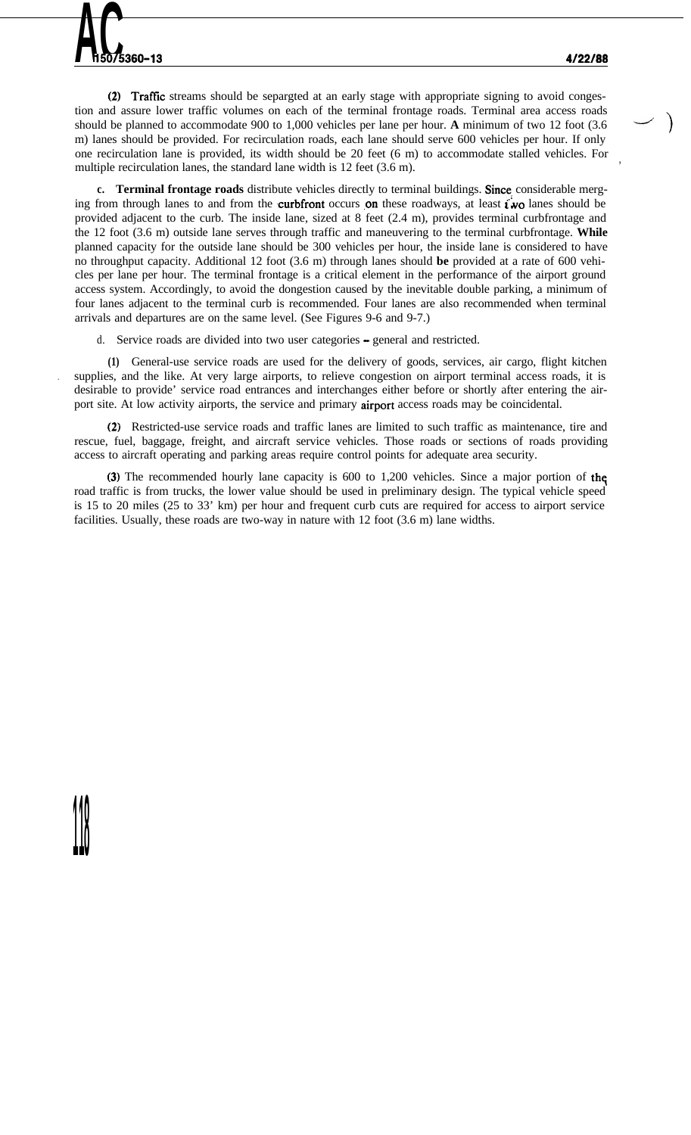**118**

,

(2) Traffic streams should be separgted at an early stage with appropriate signing to avoid congestion and assure lower traffic volumes on each of the terminal frontage roads. Terminal area access roads should be planned to accommodate 900 to 1,000 vehicles per lane per hour. **A** minimum of two 12 foot (3.6 m) lanes should be provided. For recirculation roads, each lane should serve 600 vehicles per hour. If only one recirculation lane is provided, its width should be 20 feet (6 m) to accommodate stalled vehicles. For multiple recirculation lanes, the standard lane width is 12 feet (3.6 m).

**c. Terminal frontage roads** distribute vehicles directly to terminal buildings. Since considerable merging from through lanes to and from the **curbfront** occurs **on** these roadways, at least  $\mathbf{i} \cdot \mathbf{v}$  and least  $\mathbf{i} \cdot \mathbf{v}$ provided adjacent to the curb. The inside lane, sized at 8 feet (2.4 m), provides terminal curbfrontage and the 12 foot (3.6 m) outside lane serves through traffic and maneuvering to the terminal curbfrontage. **While** planned capacity for the outside lane should be 300 vehicles per hour, the inside lane is considered to have no throughput capacity. Additional 12 foot (3.6 m) through lanes should **be** provided at a rate of 600 vehicles per lane per hour. The terminal frontage is a critical element in the performance of the airport ground access system. Accordingly, to avoid the dongestion caused by the inevitable double parking, a minimum of four lanes adjacent to the terminal curb is recommended. Four lanes are also recommended when terminal arrivals and departures are on the same level. (See Figures 9-6 and 9-7.)

d. Service roads are divided into two user categories - general and restricted.

**(1)** General-use service roads are used for the delivery of goods, services, air cargo, flight kitchen supplies, and the like. At very large airports, to relieve congestion on airport terminal access roads, it is desirable to provide' service road entrances and interchanges either before or shortly after entering the airport site. At low activity airports, the service and primary airport access roads may be coincidental.

(2) Restricted-use service roads and traffic lanes are limited to such traffic as maintenance, tire and rescue, fuel, baggage, freight, and aircraft service vehicles. Those roads or sections of roads providing access to aircraft operating and parking areas require control points for adequate area security.

(3) The recommended hourly lane capacity is 600 to 1,200 vehicles. Since a major portion of the road traffic is from trucks, the lower value should be used in preliminary design. The typical vehicle speed is 15 to 20 miles (25 to 33' km) per hour and frequent curb cuts are required for access to airport service facilities. Usually, these roads are two-way in nature with 12 foot (3.6 m) lane widths.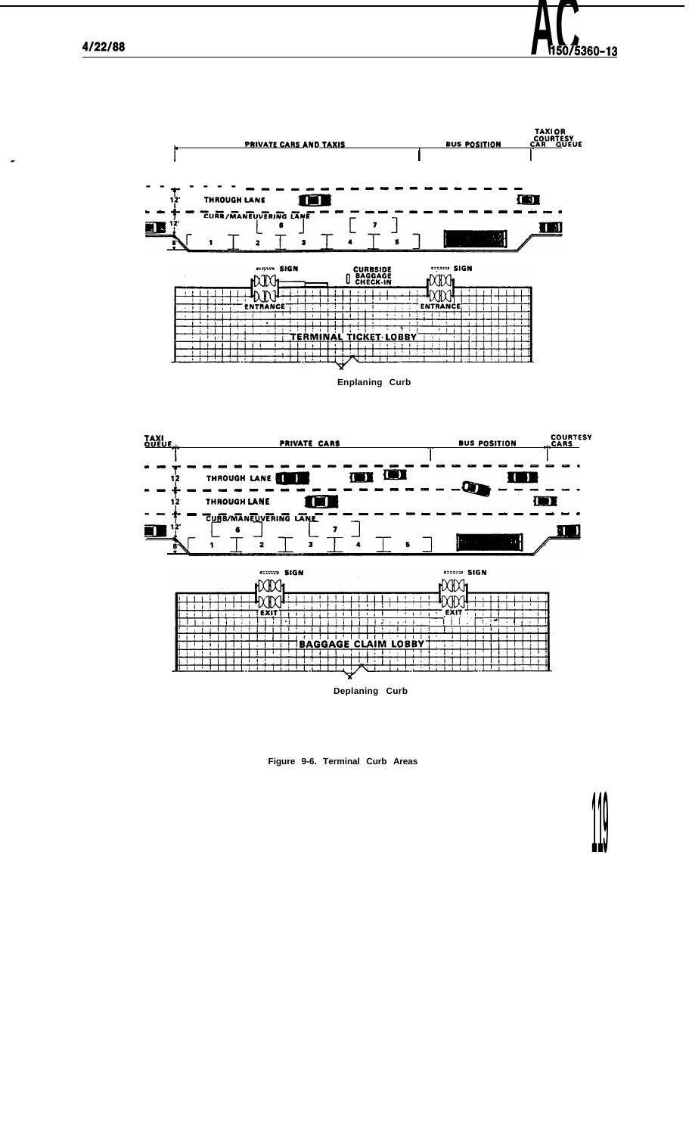

**119**



**Enplaning Curb**



**Figure 9-6. Terminal Curb Areas**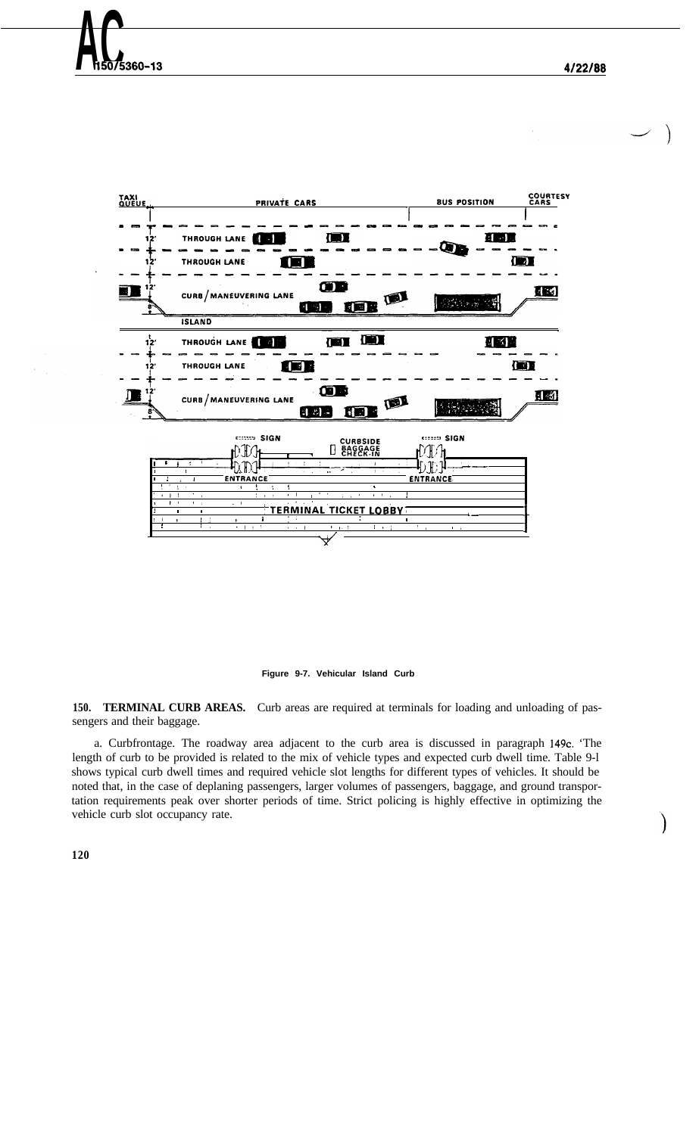**ACCES**<br>150/5360-13 4/22/88

 $\left( \right)$ 





**150. TERMINAL CURB AREAS.** Curb areas are required at terminals for loading and unloading of passengers and their baggage.

a. Curbfrontage. The roadway area adjacent to the curb area is discussed in paragraph 149c. 'The length of curb to be provided is related to the mix of vehicle types and expected curb dwell time. Table 9-l shows typical curb dwell times and required vehicle slot lengths for different types of vehicles. It should be noted that, in the case of deplaning passengers, larger volumes of passengers, baggage, and ground transportation requirements peak over shorter periods of time. Strict policing is highly effective in optimizing the vehicle curb slot occupancy rate.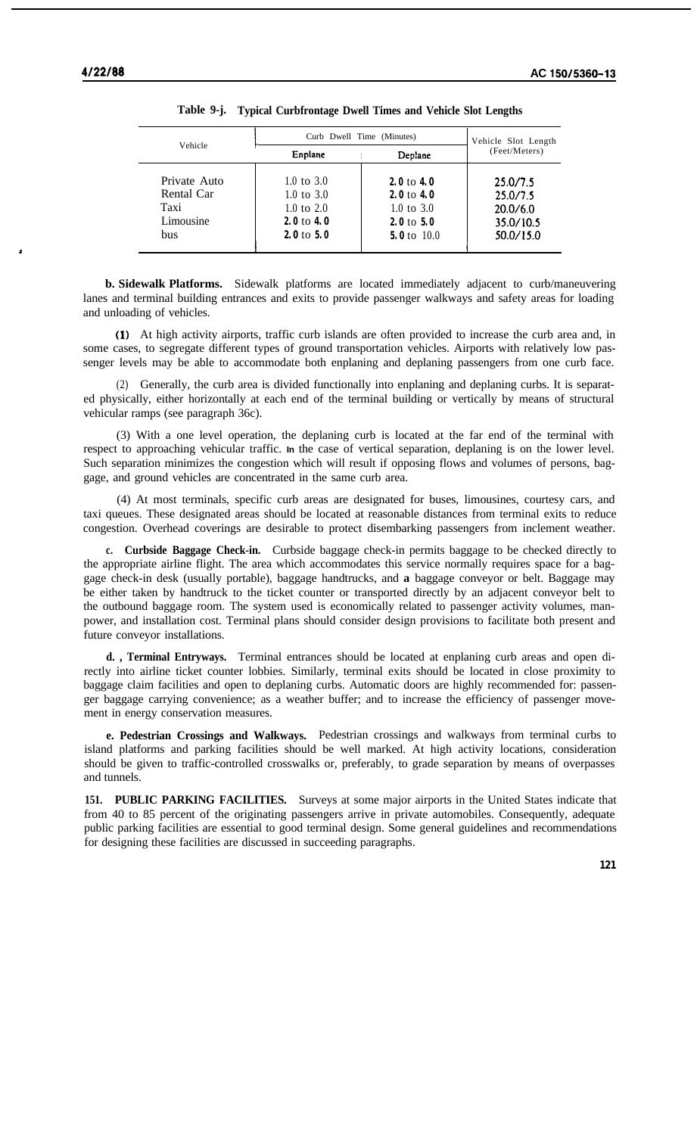|                                                        |                                                                                 | Curb Dwell Time (Minutes)                                                        | Vehicle Slot Length                                        |
|--------------------------------------------------------|---------------------------------------------------------------------------------|----------------------------------------------------------------------------------|------------------------------------------------------------|
| Vehicle                                                | Enplane                                                                         | Deplane                                                                          | (Feet/Meters)                                              |
| Private Auto<br>Rental Car<br>Taxi<br>Limousine<br>bus | 1.0 to $3.0$<br>1.0 to $3.0$<br>1.0 to $2.0$<br>2.0 to 4.0<br><b>2.0</b> to 5.0 | 2.0 to 4.0<br>2.0 to 4.0<br>1.0 to $3.0$<br><b>2.0</b> to $5.0$<br>5.0 to $10.0$ | 25.0/7.5<br>25.0/7.5<br>20.0/6.0<br>35.0/10.5<br>50.0/15.0 |
|                                                        |                                                                                 |                                                                                  |                                                            |

**Table 9-j. Typical Curbfrontage Dwell Times and Vehicle Slot Lengths**

**b. Sidewalk Platforms.** Sidewalk platforms are located immediately adjacent to curb/maneuvering lanes and terminal building entrances and exits to provide passenger walkways and safety areas for loading and unloading of vehicles.

**(1)** At high activity airports, traffic curb islands are often provided to increase the curb area and, in some cases, to segregate different types of ground transportation vehicles. Airports with relatively low passenger levels may be able to accommodate both enplaning and deplaning passengers from one curb face.

(2) Generally, the curb area is divided functionally into enplaning and deplaning curbs. It is separated physically, either horizontally at each end of the terminal building or vertically by means of structural vehicular ramps (see paragraph 36c).

(3) With a one level operation, the deplaning curb is located at the far end of the terminal with respect to approaching vehicular traffic. **In** the case of vertical separation, deplaning is on the lower level. Such separation minimizes the congestion which will result if opposing flows and volumes of persons, baggage, and ground vehicles are concentrated in the same curb area.

(4) At most terminals, specific curb areas are designated for buses, limousines, courtesy cars, and taxi queues. These designated areas should be located at reasonable distances from terminal exits to reduce congestion. Overhead coverings are desirable to protect disembarking passengers from inclement weather.

**c. Curbside Baggage Check-in.** Curbside baggage check-in permits baggage to be checked directly to the appropriate airline flight. The area which accommodates this service normally requires space for a baggage check-in desk (usually portable), baggage handtrucks, and **a** baggage conveyor or belt. Baggage may be either taken by handtruck to the ticket counter or transported directly by an adjacent conveyor belt to the outbound baggage room. The system used is economically related to passenger activity volumes, manpower, and installation cost. Terminal plans should consider design provisions to facilitate both present and future conveyor installations.

**d. , Terminal Entryways.** Terminal entrances should be located at enplaning curb areas and open directly into airline ticket counter lobbies. Similarly, terminal exits should be located in close proximity to baggage claim facilities and open to deplaning curbs. Automatic doors are highly recommended for: passenger baggage carrying convenience; as a weather buffer; and to increase the efficiency of passenger movement in energy conservation measures.

**e. Pedestrian Crossings and Walkways.** Pedestrian crossings and walkways from terminal curbs to island platforms and parking facilities should be well marked. At high activity locations, consideration should be given to traffic-controlled crosswalks or, preferably, to grade separation by means of overpasses and tunnels.

**151. PUBLIC PARKING FACILITIES.** Surveys at some major airports in the United States indicate that from 40 to 85 percent of the originating passengers arrive in private automobiles. Consequently, adequate public parking facilities are essential to good terminal design. Some general guidelines and recommendations for designing these facilities are discussed in succeeding paragraphs.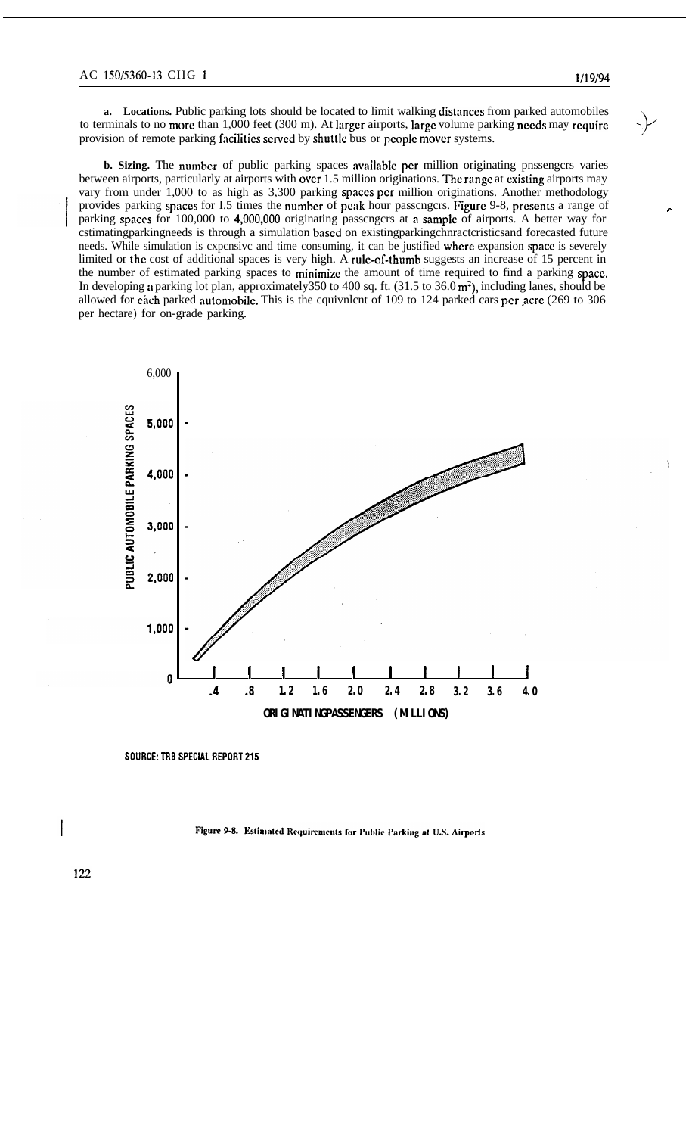#### AC 150/5360-13 CIIG 1 1/19/94

-<br>- )-

 $\left( \frac{1}{2} \right)$ 

r

**a. Locations.** Public parking lots should be located to limit walking distances from parked automobiles to terminals to no more than 1,000 feet (300 m). At larger airports, large volume parking needs may require provision of remote parking facilities served by shuttle bus or people mover systems.

**b. Sizing.** The number of public parking spaces available per million originating pnssengers varies between airports, particularly at airports with over 1.5 million originations. The range at existing airports may vary from under 1,000 to as high as 3,300 parking spaces per million originations. Another methodology provides parking spaces for I.5 times the number of peak hour passcngcrs. Figure 9-8, presents a range of parking spaces for 100,000 to 4,000,OOO originating passcngcrs at a sample of airports. A better way for cstimatingparkingneeds is through a simulation based on existingparkingchnractcristicsand forecasted future needs. While simulation is cxpcnsivc and time consuming, it can be justified where expansion space is severely limited or the cost of additional spaces is very high. A rule-of-thumb suggests an increase of 15 percent in the number of estimated parking spaces to minimize the amount of time required to find a parking space. In developing a parking lot plan, approximately350 to 400 sq. ft. (31.5 to 36.0 m'), including lanes, should be allowed for each parked automobile. This is the cquivnlcnt of 109 to 124 parked cars per acre (269 to 306 per hectare) for on-grade parking.



SOURCE: TRB SPECIAL REPORT 215

Figure 9-8. Estimated Requirements for Public Parking at U.S. Airports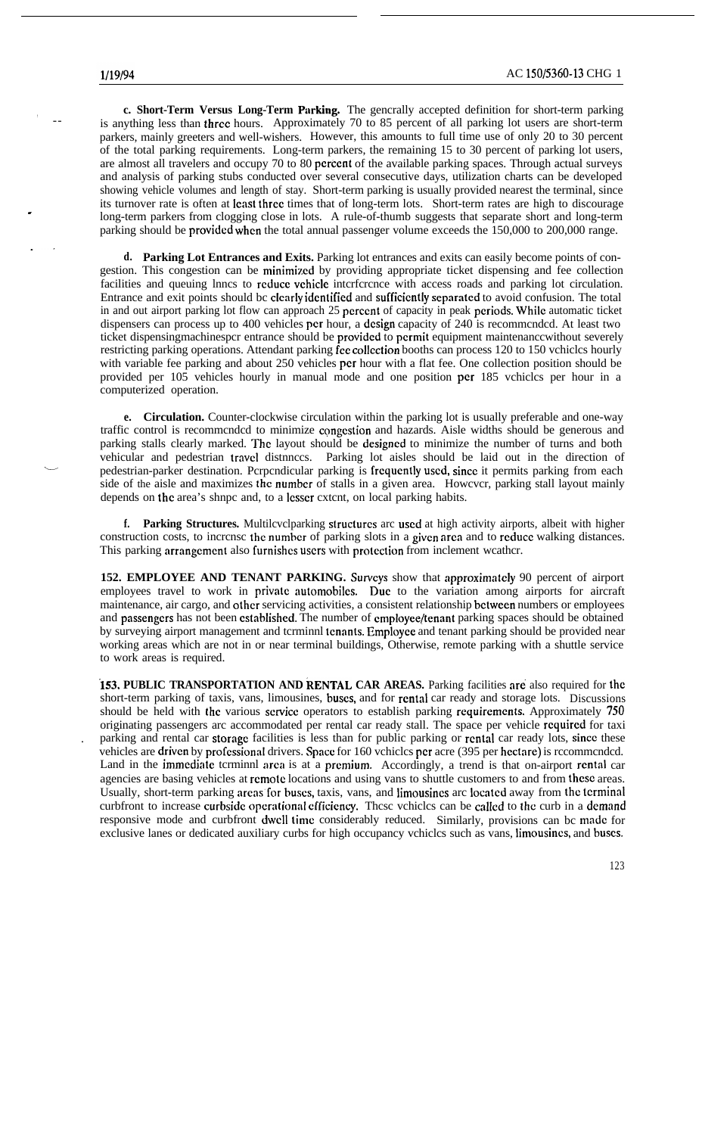\_

-

c. Short-Term Versus Long-Term Parking. The gencrally accepted definition for short-term parking is anything less than three hours. Approximately 70 to 85 percent of all parking lot users are short-term parkers, mainly greeters and well-wishers. However, this amounts to full time use of only 20 to 30 percent of the total parking requirements. Long-term parkers, the remaining 15 to 30 percent of parking lot users, are almost all travelers and occupy 70 to 80 percent of the available parking spaces. Through actual surveys and analysis of parking stubs conducted over several consecutive days, utilization charts can be developed showing vehicle volumes and length of stay. Short-term parking is usually provided nearest the terminal, since its turnover rate is often at lcast three times that of long-term lots. Short-term rates are high to discourage long-term parkers from clogging close in lots. A rule-of-thumb suggests that separate short and long-term parking should be provided when the total annual passenger volume exceeds the 150,000 to 200,000 range.

**d. Parking Lot Entrances and Exits.** Parking lot entrances and exits can easily become points of congestion. This congestion can be minimized by providing appropriate ticket dispensing and fee collection facilities and queuing lnncs to reduce vehicle interference with access roads and parking lot circulation. Entrance and exit points should bc clearly identified and sufficiently separated to avoid confusion. The total in and out airport parking lot flow can approach 25 percent of capacity in peak periods. While automatic ticket dispensers can process up to 400 vehicles per hour, a design capacity of 240 is recommcndcd. At least two ticket dispensingmachinespcr entrance should be provided to permit equipment maintenanccwithout severely restricting parking operations. Attendant parking fee collection booths can process 120 to 150 vchicles hourly with variable fee parking and about 250 vehicles per hour with a flat fee. One collection position should be provided per 105 vehicles hourly in manual mode and one position per 185 vchiclcs per hour in a computerized operation.

**e. Circulation.** Counter-clockwise circulation within the parking lot is usually preferable and one-way traffic control is recommcndcd to minimize congestion and hazards. Aisle widths should be generous and parking stalls clearly marked. The layout should be designed to minimize the number of turns and both vehicular and pedestrian travel distnnccs. Parking lot aisles should be laid out in the direction of pedestrian-parker destination. Pcrpcndicular parking is frcqucntly used, since it permits parking from each side of the aisle and maximizes the number of stalls in a given area. However, parking stall layout mainly depends on the area's shnpc and, to a lcsscr cxtcnt, on local parking habits.

**f. Parking Structures.** Multilcvclparking structures arc used at high activity airports, albeit with higher construction costs, to incrcnsc the number of parking slots in a given arca and to reduce walking distances. This parking arrangcmcnt also furnishes users with protection from inclement wcathcr.

**152. EMPLOYEE AND TENANT PARKING.** Surveys show that approximately 90 percent of airport employees travel to work in private automobiles. Due to the variation among airports for aircraft maintenance, air cargo, and other servicing activities, a consistent relationship between numbers or employees and passengers has not been established. The number of employee/tenant parking spaces should be obtained by surveying airport management and tcrminnl tenants. Employee and tenant parking should be provided near working areas which are not in or near terminal buildings, Otherwise, remote parking with a shuttle service to work areas is required.

**153. PUBLIC TRANSPORTATION AND RENTAL CAR AREAS.** Parking facilities are also required for the short-term parking of taxis, vans, limousines, buses, and for rental car ready and storage lots. Discussions should be held with the various scrvicc operators to establish parking requirements. Approximately 750 originating passengers arc accommodated per rental car ready stall. The space per vehicle required for taxi . parking and rental car storage facilities is less than for public parking or rental car ready lots, since these vehicles are driven by professional drivers. Space for 160 vchiclcs per acre (395 per hectare) is rccommcndcd. Land in the immediate tcrminnl area is at a premium. Accordingly, a trend is that on-airport rental car agencies are basing vehicles at rcmotc locations and using vans to shuttle customers to and from thcsc areas. Usually, short-term parking areas for buses, taxis, vans, and limousines arc located away from the terminal curbfront to increase curbside operational cfficicncy. Thcsc vchiclcs can be called to the curb in a demand responsive mode and curbfront dwell time considerably reduced. Similarly, provisions can bc made for exclusive lanes or dedicated auxiliary curbs for high occupancy vchiclcs such as vans, limousines, and busts.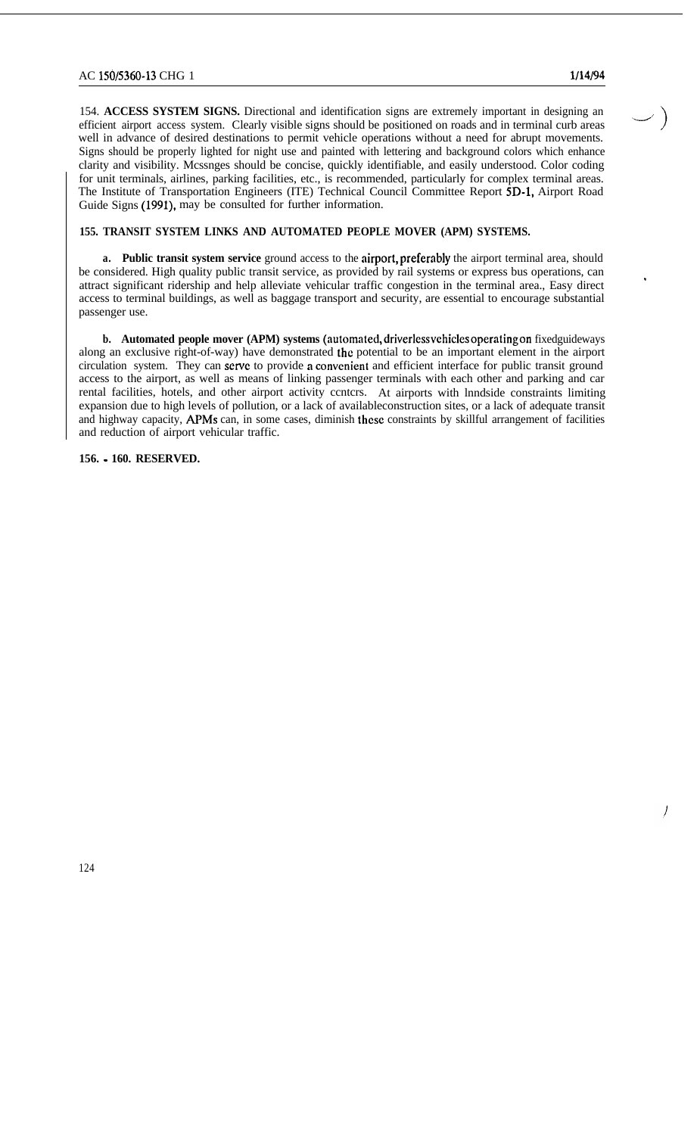154. **ACCESS SYSTEM SIGNS.** Directional and identification signs are extremely important in designing an \_, efficient airport access system. Clearly visible signs should be positioned on roads and in terminal curb areas / well in advance of desired destinations to permit vehicle operations without a need for abrupt movements. Signs should be properly lighted for night use and painted with lettering and background colors which enhance clarity and visibility. Mcssnges should be concise, quickly identifiable, and easily understood. Color coding for unit terminals, airlines, parking facilities, etc., is recommended, particularly for complex terminal areas. The Institute of Transportation Engineers (ITE) Technical Council Committee Report 5D-1, Airport Road Guide Signs (1991), may be consulted for further information.

#### **155. TRANSIT SYSTEM LINKS AND AUTOMATED PEOPLE MOVER (APM) SYSTEMS.**

**a.** Public transit system service ground access to the airport, preferably the airport terminal area, should be considered. High quality public transit service, as provided by rail systems or express bus operations, can attract significant ridership and help alleviate vehicular traffic congestion in the terminal area., Easy direct access to terminal buildings, as well as baggage transport and security, are essential to encourage substantial passenger use.

**b.** Automated people mover (APM) systems (automated, driverless vehicles operating on fixed guideways along an exclusive right-of-way) have demonstrated the potential to be an important element in the airport circulation system. They can serve to provide a convenient and efficient interface for public transit ground access to the airport, as well as means of linking passenger terminals with each other and parking and car rental facilities, hotels, and other airport activity centers. At airports with lnndside constraints limiting expansion due to high levels of pollution, or a lack of availableconstruction sites, or a lack of adequate transit and highway capacity, ARMS can, in some cases, diminish these constraints by skillful arrangement of facilities and reduction of airport vehicular traffic.

**156. - 160. RESERVED.**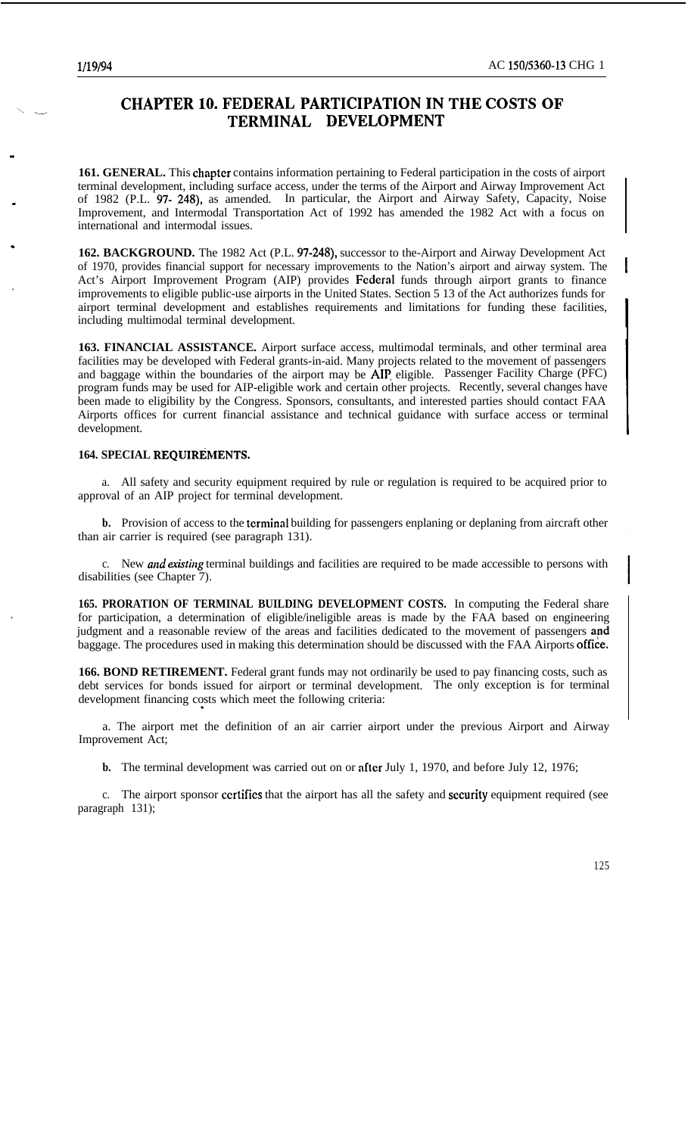"

.

.

.

# \ 1 CHAPTER 10. FEDERAL PARTICIPATION IN THE COSTS OF TERMINAL DEVELOPMENT

**161. GENERAL.** This chapter contains information pertaining to Federal participation in the costs of airport terminal development, including surface access, under the terms of the Airport and Airway Improvement Act of 1982 (P.L. 97- 248), as amended. In particular, the Airport and Airway Safety, Capacity, Noise Improvement, and Intermodal Transportation Act of 1992 has amended the 1982 Act with a focus on international and intermodal issues.

**162. BACKGROUND.** The 1982 Act (P.L. 97-248), successor to the-Airport and Airway Development Act of 1970, provides financial support for necessary improvements to the Nation's airport and airway system. The Act's Airport Improvement Program (AIP) provides Federal funds through airport grants to finance improvements to eligible public-use airports in the United States. Section 5 13 of the Act authorizes funds for airport terminal development and establishes requirements and limitations for funding these facilities, including multimodal terminal development.

**163. FINANCIAL ASSISTANCE.** Airport surface access, multimodal terminals, and other terminal area facilities may be developed with Federal grants-in-aid. Many projects related to the movement of passengers and baggage within the boundaries of the airport may be AIP eligible. Passenger Facility Charge (PFC) program funds may be used for AIP-eligible work and certain other projects. Recently, several changes have been made to eligibility by the Congress. Sponsors, consultants, and interested parties should contact FAA Airports offices for current financial assistance and technical guidance with surface access or terminal development.

#### **164. SPECIAL REQUIREMENTS.**

a. All safety and security equipment required by rule or regulation is required to be acquired prior to approval of an AIP project for terminal development.

**b.** Provision of access to the terminal building for passengers enplaning or deplaning from aircraft other than air carrier is required (see paragraph 131).

c. New *and existing* terminal buildings and facilities are required to be made accessible to persons with disabilities (see Chapter 7).

**165. PRORATION OF TERMINAL BUILDING DEVELOPMENT COSTS.** In computing the Federal share for participation, a determination of eligible/ineligible areas is made by the FAA based on engineering judgment and a reasonable review of the areas and facilities dedicated to the movement of passengers and baggage. The procedures used in making this determination should be discussed with the FAA Airports office.

**166. BOND RETIREMENT.** Federal grant funds may not ordinarily be used to pay financing costs, such as debt services for bonds issued for airport or terminal development. The only exception is for terminal development financing costs which meet the following criteria:

a. The airport met the definition of an air carrier airport under the previous Airport and Airway Improvement Act;

**b.** The terminal development was carried out on or after July 1, 1970, and before July 12, 1976;

c. The airport sponsor ccrtifics that the airport has all the safety and security equipment required (see paragraph 131);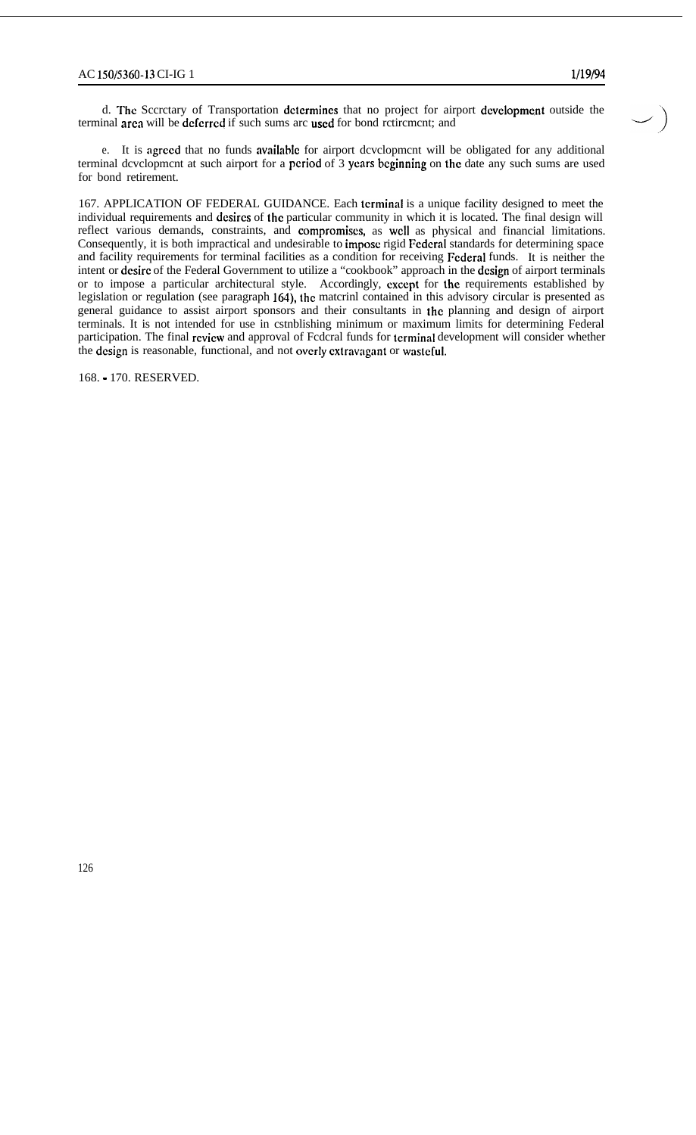d. The Sccretary of Transportation determines that no project for airport development outside the terminal arca will be dcfcrrcd if such sums arc used for bond rctircmcnt; and

e. It is agreed that no funds avnilablc for airport dcvclopmcnt will be obligated for any additional terminal dcvclopmcnt at such airport for a period of 3 years beginning on the date any such sums are used for bond retirement.

167. APPLICATION OF FEDERAL GUIDANCE. Each terminal is a unique facility designed to meet the individual requirements and desires of the particular community in which it is located. The final design will reflect various demands, constraints, and compromises, as well as physical and financial limitations. Consequently, it is both impractical and undesirable to impose rigid Federal standards for determining space and facility requirements for terminal facilities as a condition for receiving Federal funds. It is neither the intent or desire of the Federal Government to utilize a "cookbook" approach in the design of airport terminals or to impose a particular architectural style. Accordingly, except for the requirements established by legislation or regulation (see paragraph 164), the matcrinl contained in this advisory circular is presented as general guidance to assist airport sponsors and their consultants in the planning and design of airport terminals. It is not intended for use in cstnblishing minimum or maximum limits for determining Federal participation. The final review and approval of Fcdcral funds for terminal development will consider whether the design is reasonable, functional, and not overly extravagant or wasteful.

168. - 170. RESERVED.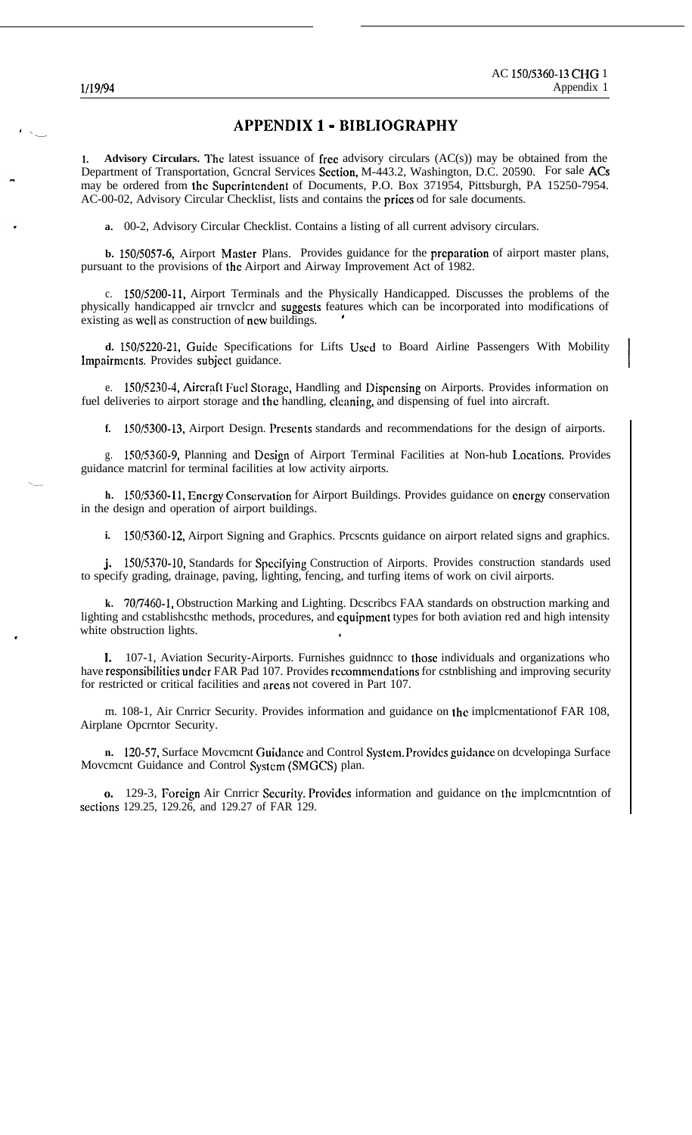# APPENDIX <sup>1</sup> - BIBLIOGRAPHY

**1. Advisory Circulars.** The latest issuance of free advisory circulars (AC(s)) may be obtained from the Department of Transportation, Gcncral Services Section, M-443.2, Washington, D.C. 20590. For sale ACs may be ordered from the Supcrintcndent of Documents, P.O. Box 371954, Pittsburgh, PA 15250-7954. AC-00-02, Advisory Circular Checklist, lists and contains the prices od for sale documents.

**a.** 00-2, Advisory Circular Checklist. Contains a listing of all current advisory circulars.

**b.** 150/5057-6, Airport Master Plans. Provides guidance for the preparation of airport master plans, pursuant to the provisions of the Airport and Airway Improvement Act of 1982.

c. 150/5200-11, Airport Terminals and the Physically Handicapped. Discusses the problems of the physically handicapped air trnvclcr and suggcsls features which can be incorporated into modifications of existing as well as construction of new buildings.

**d.** lSO/5220-21, Guide Specifications for Lifts Used to Board Airline Passengers With Mobility Impairments. Provides subject guidance.

e. 150/5230-4, Aircraft Fuel Storage, Handling and Dispensing on Airports. Provides information on fuel deliveries to airport storage and the handling, cleaning, and dispensing of fuel into aircraft.

f. 150/5300-13, Airport Design. Presents standards and recommendations for the design of airports.

g. lSO/5360-9, Planning and Design of Airport Terminal Facilities at Non-hub L.ocations. Provides guidance matcrinl for terminal facilities at low activity airports.

**h.** 150/5360-11, Energy Conservation for Airport Buildings. Provides guidance on cncrgy conservation in the design and operation of airport buildings.

**i.** 150/5360-12, Airport Signing and Graphics. Presents guidance on airport related signs and graphics.

j. 150/5370-10, Standards for Specifying Construction of Airports. Provides construction standards used to specify grading, drainage, paving, lighting, fencing, and turfing items of work on civil airports.

**k.** 70/7460-l, Obstruction Marking and Lighting. Dcscribcs FAA standards on obstruction marking and lighting and cstablishcsthc methods, procedures, and cquipmcnt types for both aviation red and high intensity white obstruction lights.

**I.** 107-1, Aviation Security-Airports. Furnishes guidnncc to those individuals and organizations who have responsibilities under FAR Pad 107. Provides recommendations for estnblishing and improving security for restricted or critical facilities and arcas not covered in Part 107.

m. 108-1, Air Cnrricr Security. Provides information and guidance on the implcmentationof FAR 108, Airplane Opcrntor Security.

**n.** 1.20-S7, Surface Movcmcnt Guidance and Control System. Provides guidance on dcvelopinga Surface Movcmcnt Guidance and Control System (SMGCS) plan.

o. 129-3, Foreign Air Cnrricr Security. Provides information and guidance on the implcmcntntion of seclions 129.25, 129.26, and 129.27 of FAR 129.

#### l/19/94

,  $\setminus$ 

-.-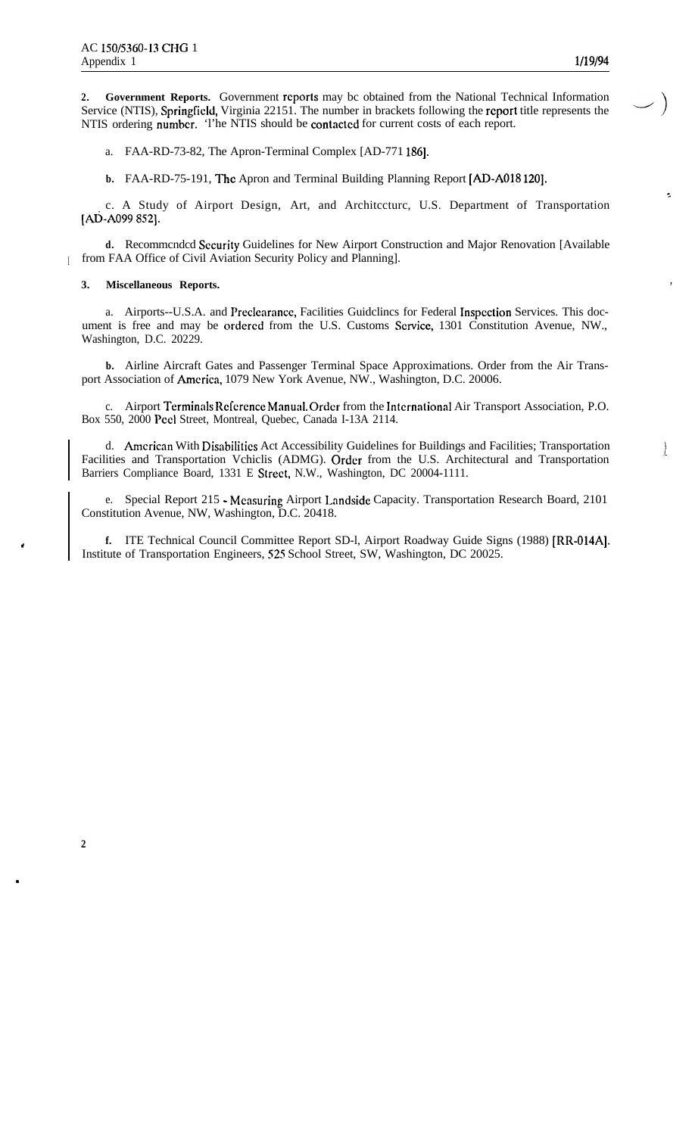a. FAA-RD-73-82, The Apron-Terminal Complex [AD-771 1861.

**b.** FAA-RD-75-191, The Apron and Terminal Building Planning Report [AD-AO!8 1201.

c. A Study of Airport Design, Art, and Architccturc, U.S. Department of Transportation [AD-A099 852].

**d.** Recommcndcd Security Guidelines for New Airport Construction and Major Renovation [Available from FAA Office of Civil Aviation Security Policy and Planning].

#### **3. Miscellaneous Reports. ,**

I

,

.

a. Airports--U.S.A. and Preclenmncc, Facilities Guidclincs for Federal Inspection Services. This document is free and may be ordered from the U.S. Customs Service, 1301 Constitution Avenue, NW., Washington, D.C. 20229.

**b.** Airline Aircraft Gates and Passenger Terminal Space Approximations. Order from the Air Transport Association of America, 1079 New York Avenue, NW., Washington, D.C. 20006.

c. Airport TerminalsRefcrenceMnnual. Order from the Intcrnntional Air Transport Association, P.O. Box 550, 2000 Peel Street, Montreal, Quebec, Canada I-13A 2114.

d. American With Disabilities Act Accessibility Guidelines for Buildings and Facilities; Transportation Facilities and Transportation Vchiclis (ADMG). Order from the U.S. Architectural and Transportation Barriers Compliance Board, 1331 E Street, N.W., Washington, DC 20004-1111.

e. Special Report 215 - Measuring Airport Landside Capacity. Transportation Research Board, 2101 Constitution Avenue, NW, Washington, D.C. 20418.

**f.** ITE Technical Council Committee Report SD-l, Airport Roadway Guide Signs (1988) [RR-014A]. Institute of Transportation Engineers, 525 School Street, SW, Washington, DC 20025.

z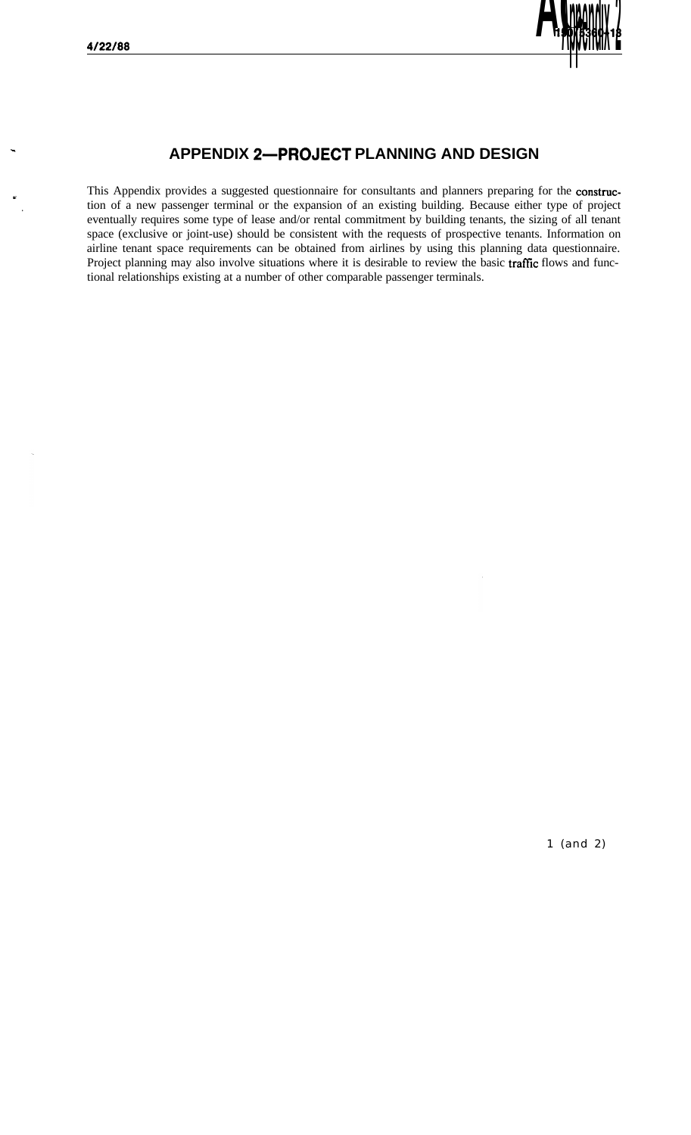

# **APPENDIX 2-PROJECT PLANNING AND DESIGN**

This Appendix provides a suggested questionnaire for consultants and planners preparing for the construc-. tion of a new passenger terminal or the expansion of an existing building. Because either type of project eventually requires some type of lease and/or rental commitment by building tenants, the sizing of all tenant space (exclusive or joint-use) should be consistent with the requests of prospective tenants. Information on airline tenant space requirements can be obtained from airlines by using this planning data questionnaire. Project planning may also involve situations where it is desirable to review the basic traffic flows and functional relationships existing at a number of other comparable passenger terminals.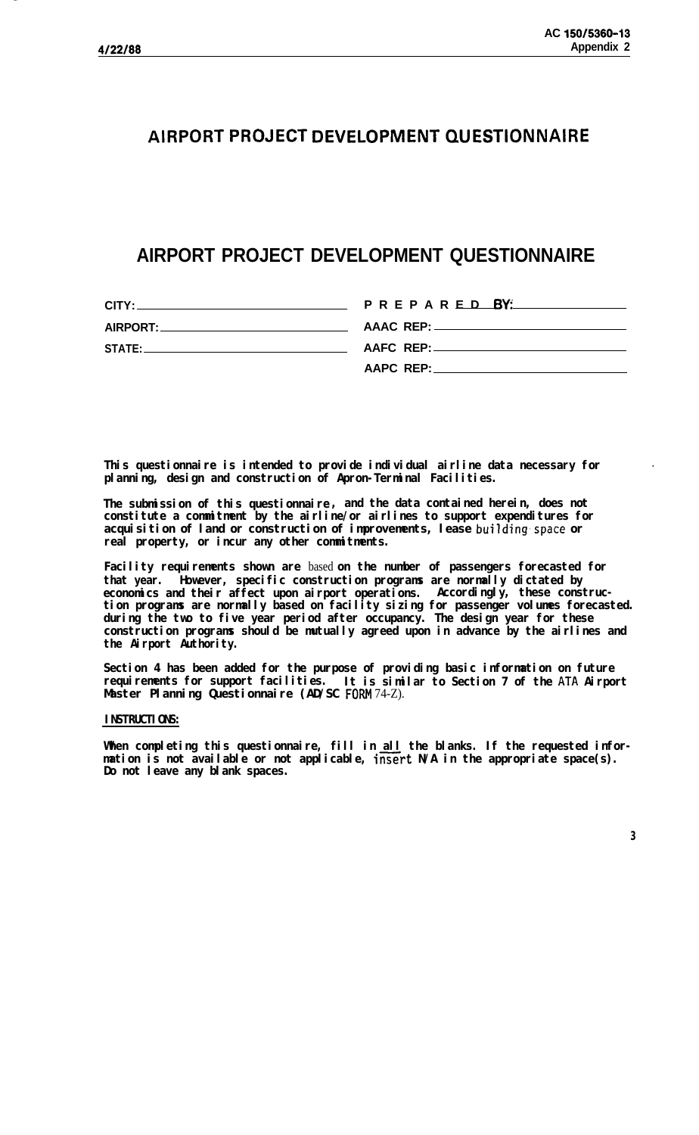# **AIRPORT PROJECT DEVELOPMENT QUESTIONNAIRE**

# **AIRPORT PROJECT DEVELOPMENT QUESTIONNAIRE**

| PREPARED BY: |
|--------------|
|              |
|              |
|              |

**This questionnaire is intended to provide individual airline data necessary for planning, design and construction of Apron-Terminal Facilities.**

**The submission of this questionnaire , and the data contained herein, does not constitute a commitment by the airline/or airlines to support expenditures for acquisition of land or construction of improvements, lease building,space or real property, or incur any other commitments.**

**Facility requirements shown are** based **on the number of passengers forecasted for that year. However, specific construction programs are normally dictated by economics and their affect upon airport operations. Accordingly, these construction programs are normally based on facility sizing for passenger volumes forecasted. during the two to five year period after occupancy. The design year for these construction programs should be mutually agreed upon in advance by the airlines and the Airport Authority.**

**Section 4 has been added for the purpose of providing basic information on future requirements for support facilities. It is similar to Section 7 of the ATA Airport Master Planning Questionnaire (AD/SC** FORM 74-Z).

#### **INSTRUCTIONS:**

**When completing this questionnaire, fill in all the blanks. If the requested information is not available or not applicable, insert N/A in the appropriate space(s). Do not leave any blank spaces.**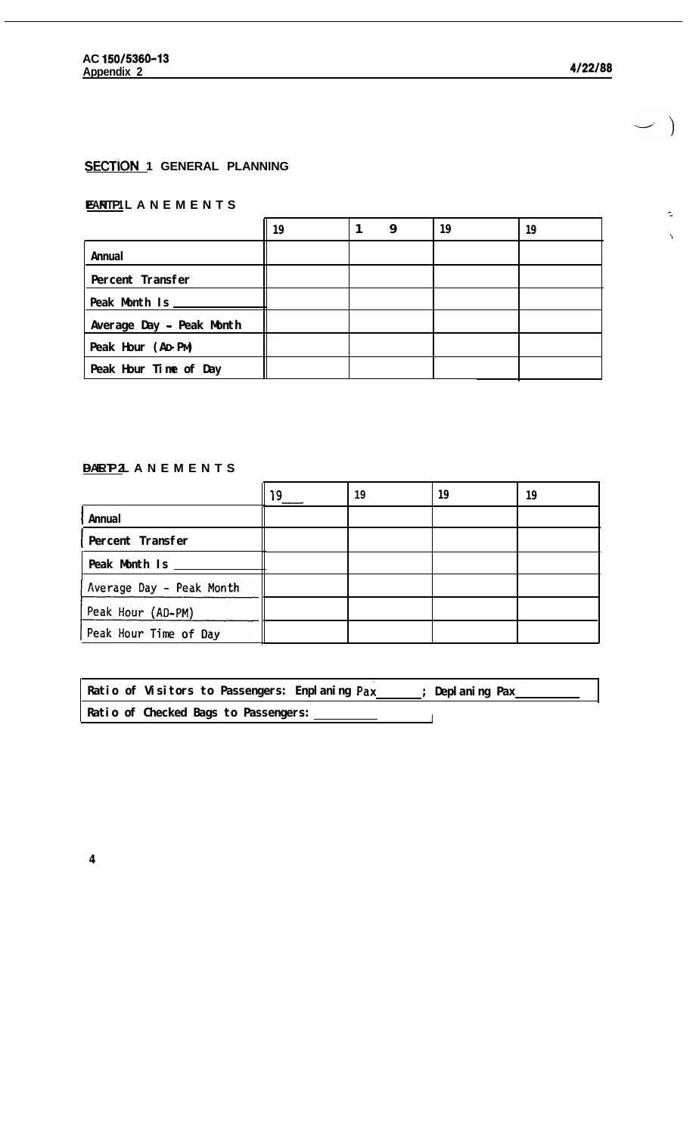### **SECTION 1 GENERAL PLANNING**

# **PARTPILANEMENTS**

|                          | 19 | 9 | 19 | 19 |
|--------------------------|----|---|----|----|
| <b>Annual</b>            |    |   |    |    |
| <b>Percent Transfer</b>  |    |   |    |    |
| Peak Month Is _____      |    |   |    |    |
| Average Day - Peak Month |    |   |    |    |
| Peak Hour (AD-PM)        |    |   |    |    |
| Peak Hour Time of Day    |    |   |    |    |

**DARP2 ANEMENTS** 

|                          | 19 | 19 | 19 |
|--------------------------|----|----|----|
| Annual                   |    |    |    |
| <b>Percent Transfer</b>  |    |    |    |
| Peak Month Is __         |    |    |    |
| Average Day - Peak Month |    |    |    |
| Peak Hour (AD-PM)        |    |    |    |
| Peak Hour Time of Day    |    |    |    |

**Ratio of Visitors to Passengers: Enplaning Pax ; Deplaning Pax Ratio of Checked Bags to Passengers: I**

 $\mathbb{Z}$ 

 $\big)$ 

**\**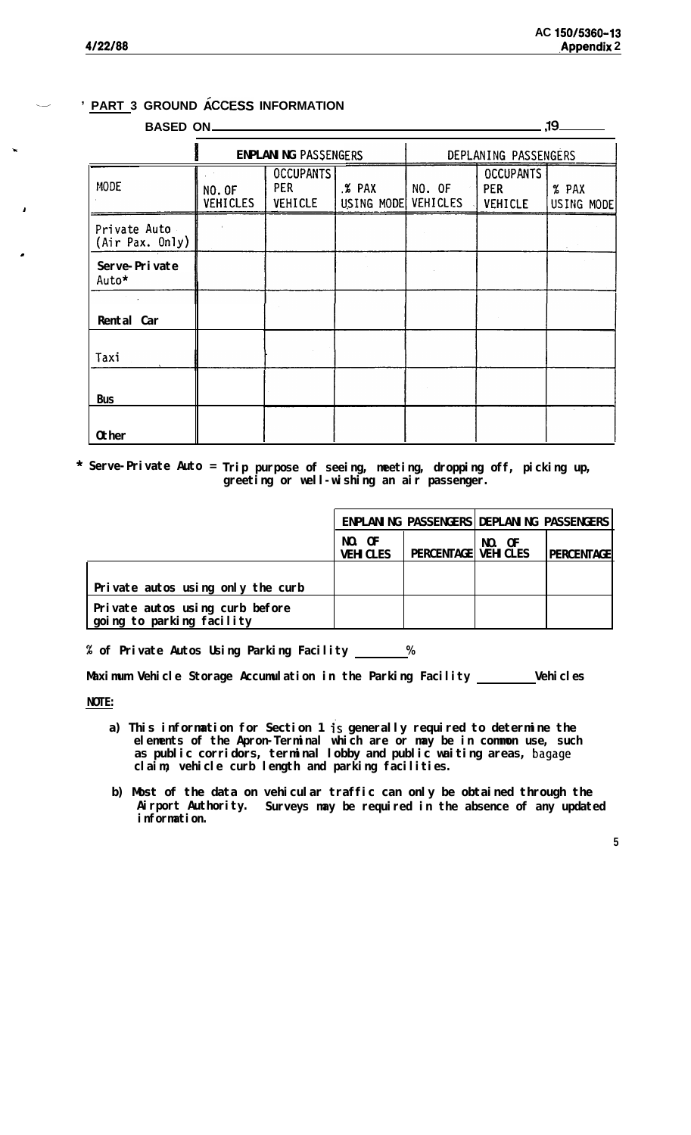h

1

.

# $'$  PART 3 GROUND ACCESS INFORMATION

|                                 | <b>BASED ON ________</b>         | .19                                |                                         |        |                                                  |                     |  |
|---------------------------------|----------------------------------|------------------------------------|-----------------------------------------|--------|--------------------------------------------------|---------------------|--|
|                                 |                                  | <b>ENPLANING PASSENGERS</b>        | DEPLANING PASSENGERS                    |        |                                                  |                     |  |
| <b>MODE</b>                     | <b>NO. OF</b><br><b>VEHICLES</b> | <b>OCCUPANTS</b><br>PER<br>VEHICLE | $\mathcal X$ PAX<br>USING MODE VEHICLES | NO. OF | <b>OCCUPANTS</b><br><b>PER</b><br><b>VEHICLE</b> | % PAX<br>USING MODE |  |
| Private Auto<br>(Air Pax. Only) |                                  |                                    |                                         |        |                                                  |                     |  |
| Serve-Private<br>Auto*          |                                  |                                    |                                         |        |                                                  |                     |  |
| <b>Rental Car</b>               |                                  |                                    |                                         |        |                                                  |                     |  |
| Taxi                            |                                  |                                    |                                         |        |                                                  |                     |  |
| <b>Bus</b>                      |                                  |                                    |                                         |        |                                                  |                     |  |
| <b>Other</b>                    |                                  |                                    |                                         |        |                                                  |                     |  |

**\* Serve-Private Auto = Trip purpose of seeing, meeting, dropping off, picking up, greeting or well-wishing an air passenger.**

|                                                              |                                  | <b>ENPLANING PASSENGERS DEPLANING PASSENGERS</b> |               |                   |
|--------------------------------------------------------------|----------------------------------|--------------------------------------------------|---------------|-------------------|
|                                                              | <b>NO. OF</b><br><b>VEHICLES</b> | <b>PERCENTAGE   VEHICLES</b>                     | <b>NO. OF</b> | <b>PERCENTAGE</b> |
| Private autos using only the curb                            |                                  |                                                  |               |                   |
| Private autos using curb before<br>going to parking facility |                                  |                                                  |               |                   |

**% of Private Autos Using Parking Facility %**

**Maximum Vehicle Storage Accumulation in the Parking Facility Vehicles**

**NOTE:**

- **a) This information for Section 1 is generally required to determine the elements of the Apron-Terminal which are or may be in common use, such as public corridors, terminal lobby and public waiting areas, bagage claim, vehicle curb length and parking facilities.**
- **b) Most of the data on vehicular traffic can only be obtained through the Airport Authority. Surveys may be required in the absence of any updated information.**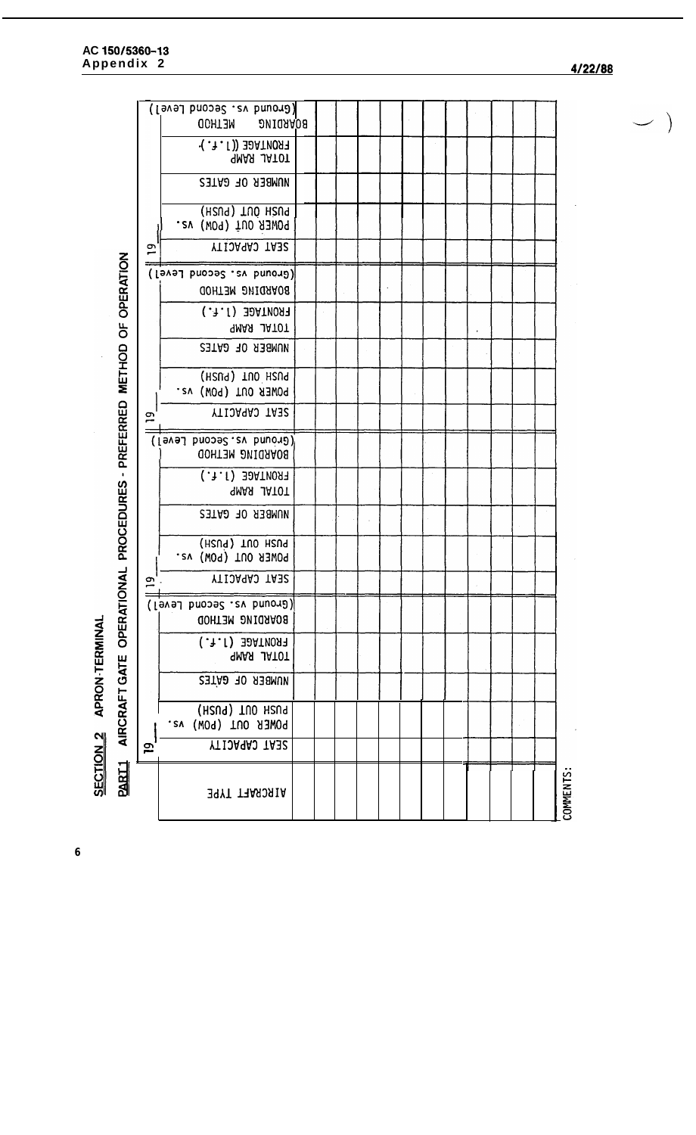SECTION 2 APRON-TERMINAL

**6**

PART1 AIRCRAFT GATE OPERATIONAL PROCEDURES - PREFERRED METHOD OF OPERATION

| ミスピュン<br>コラス・マンピン          | $\overline{a}$ | YTIJA9AJ TA32<br>Mexen puccouq revel)<br>BOARDING METHOD<br>$(.1.1)$ BATNORT<br><b>9MAR JATOT</b><br>NUMBER OF GATES |  |  |  |  |  |  |  |
|----------------------------|----------------|----------------------------------------------------------------------------------------------------------------------|--|--|--|--|--|--|--|
| <b>DIAT LUNCENNES</b>      |                | NUMBER OF GATES<br>PUSH OUT (PUSH)<br>POWER OUT (POW) vs.                                                            |  |  |  |  |  |  |  |
|                            |                | (Fround vs. Second Level)<br>BOARDING METHOD<br>$(.7.1)$ 30ATN0R7<br><b>AMAR JATOT</b>                               |  |  |  |  |  |  |  |
|                            | <u>ღ</u>       | POWER OUT (POW) vs.<br>YTIJA9AJ TA32                                                                                 |  |  |  |  |  |  |  |
| . Lucleurn mei Don Alexain |                | <b>TOTAL RAMP</b><br>NUMBER OF GATES<br>(H2U4) TUO H2U9                                                              |  |  |  |  |  |  |  |
|                            |                | (fevel vs. Second Level)<br>BOARDING METHOD<br>$(.1.1)$ JAATNORT                                                     |  |  |  |  |  |  |  |
|                            | $\sigma$       | (H2U9) TUÓ H2U9<br>POWER OUT (POW) vs.<br>YTIOA9AJ TA32                                                              |  |  |  |  |  |  |  |
|                            |                | $( .1.1)$ ) JOATNORT<br><b>GMAR JATOT</b><br>NUMBER OF GATES                                                         |  |  |  |  |  |  |  |
|                            |                | (favel bnose .evel Level)<br><b>BOARDING</b><br><b>METHOD</b>                                                        |  |  |  |  |  |  |  |

**COMMENTS:** 

 $\big)$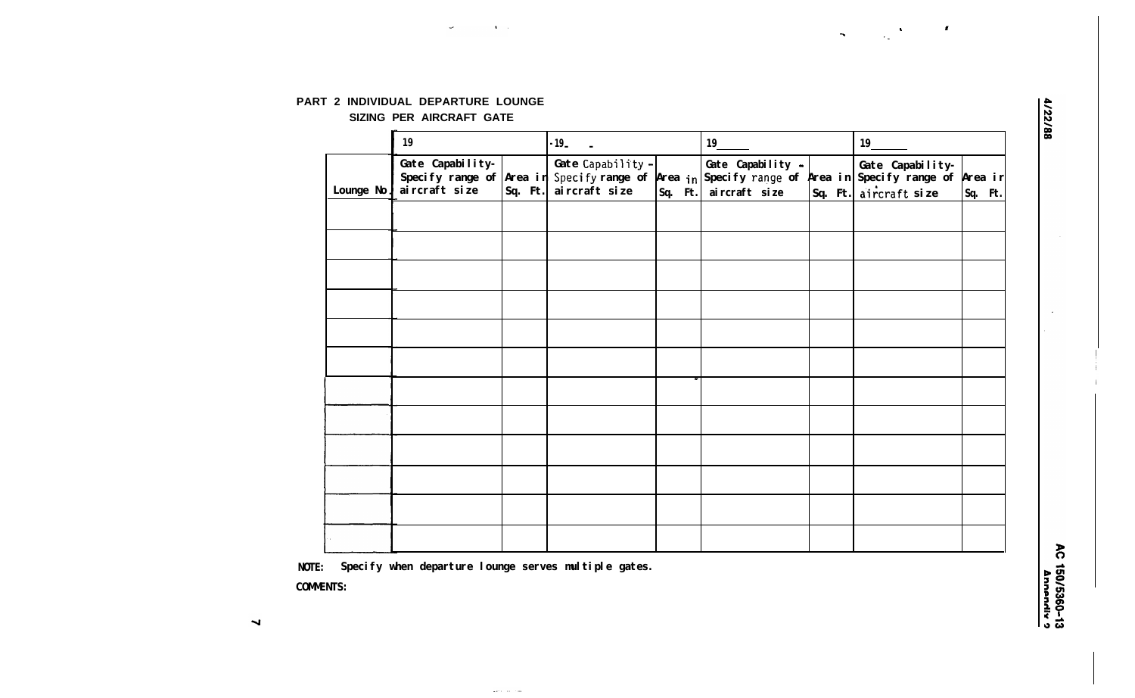#### **PART 2 INDIVIDUAL DEPARTURE LOUNGE**

#### **SIZING PER AIRCRAFT GATE**

 $\overline{\phantom{a}}$ 

**COMPANY** 

|            | 19                                |           | $-19$                                | 19                                                    | 19                                                                                                                                               |         |
|------------|-----------------------------------|-----------|--------------------------------------|-------------------------------------------------------|--------------------------------------------------------------------------------------------------------------------------------------------------|---------|
| Lounge No. | Gate Capability-<br>aircraft size | $Sq.$ Ft. | Gate Capability $-$<br>aircraft size | Gate Capability -<br>$ \text{Sq. Ft.} $ aircraft size | Gate Capability-<br>Specify range of Area in Specify range of Area in Specify range of Area in Specify range of Area in<br>Sq. Ft. aircraft size | Sq. Ft. |
|            |                                   |           |                                      |                                                       |                                                                                                                                                  |         |
|            |                                   |           |                                      |                                                       |                                                                                                                                                  |         |
|            |                                   |           |                                      |                                                       |                                                                                                                                                  |         |
|            |                                   |           |                                      |                                                       |                                                                                                                                                  |         |
|            |                                   |           |                                      |                                                       |                                                                                                                                                  |         |
|            |                                   |           |                                      |                                                       |                                                                                                                                                  |         |
|            |                                   |           |                                      |                                                       |                                                                                                                                                  |         |
|            |                                   |           |                                      |                                                       |                                                                                                                                                  |         |
|            |                                   |           |                                      |                                                       |                                                                                                                                                  |         |
|            |                                   |           |                                      |                                                       |                                                                                                                                                  |         |
|            |                                   |           |                                      |                                                       |                                                                                                                                                  |         |
|            |                                   |           |                                      |                                                       |                                                                                                                                                  |         |

**NOTE: Specify when departure lounge serves multiple gates.**

**COMMENTS:**

. I ,\_

-.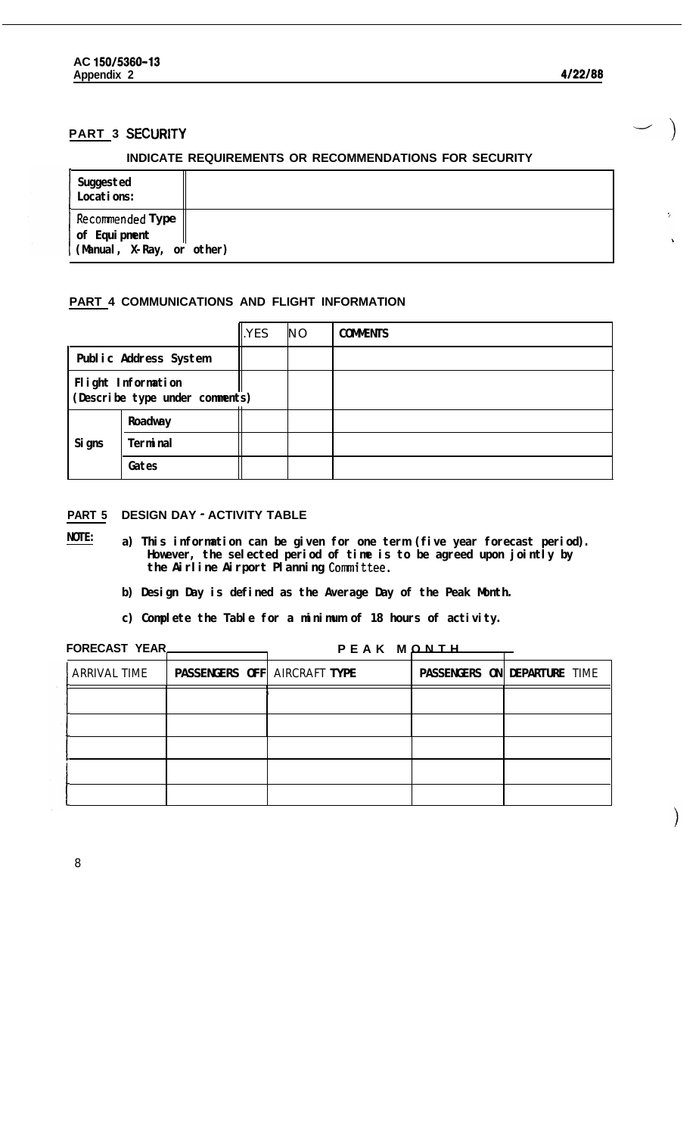# **PART 3 SECURITY**  $\begin{pmatrix} -1 & 0 \\ 0 & -1 & 0 \\ 0 & 0 & 0 \\ 0 & 0 & 0 \\ 0 & 0 & 0 \\ 0 & 0 & 0 \\ 0 & 0 & 0 \\ 0 & 0 & 0 \\ 0 & 0 & 0 \\ 0 & 0 & 0 \\ 0 & 0 & 0 \\ 0 & 0 & 0 \\ 0 & 0 & 0 \\ 0 & 0 & 0 \\ 0 & 0 & 0 & 0 \\ 0 & 0 & 0 & 0 \\ 0 & 0 & 0 & 0 \\ 0 & 0 & 0 & 0 \\ 0 & 0 & 0 & 0 & 0 \\ 0 & 0 & 0 & 0$

#### **INDICATE REQUIREMENTS OR RECOMMENDATIONS FOR SECURITY**

| Suggested<br>Locations:   |  |
|---------------------------|--|
| Recommended Type          |  |
| of Equipment              |  |
| (Manual, X-Ray, or other) |  |

#### **PART 4 COMMUNICATIONS AND FLIGHT INFORMATION**

|                              |                                                             | <b>YES</b> | NO | <b>COMMENTS</b> |
|------------------------------|-------------------------------------------------------------|------------|----|-----------------|
| <b>Public Address System</b> |                                                             |            |    |                 |
|                              | <b>Flight Information</b><br>(Describe type under comments) |            |    |                 |
|                              | Roadway                                                     |            |    |                 |
| <b>Signs</b>                 | <b>Terminal</b>                                             |            |    |                 |
|                              | Gates                                                       |            |    |                 |

#### **PART 5 DESIGN DAY - ACTIVITY TABLE**

- **NOTE: a) This information can be given for one term (five year forecast period). However, the selected period of time is to be agreed upon jointly by the Airline Airport Planning Committee.**
	- **b) Design Day is defined as the Average Day of the Peak Month.**
	- **c) Complete the Table for a minimum of 18 hours of activity.**

| .<br>.              |                                     |  |                                     |
|---------------------|-------------------------------------|--|-------------------------------------|
| <b>ARRIVAL TIME</b> | <b>PASSENGERS OFF AIRCRAFT TYPE</b> |  | <b>PASSENGERS ON DEPARTURE TIME</b> |
|                     |                                     |  |                                     |
|                     |                                     |  |                                     |
|                     |                                     |  |                                     |
|                     |                                     |  |                                     |
|                     |                                     |  |                                     |

**FORECAST YEAR PEAK MONTH**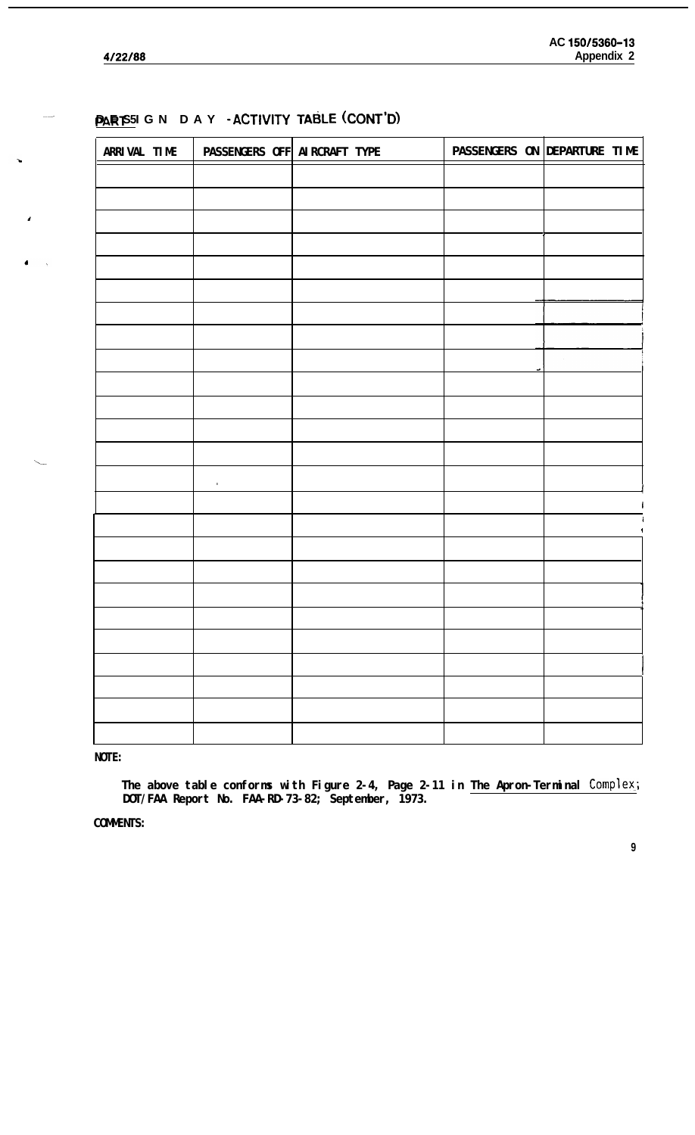| <b>ARRIVAL TIME</b> | PASSENGERS OFF AIRCRAFT TYPE |  | PASSENGERS ON DEPARTURE TIME |
|---------------------|------------------------------|--|------------------------------|
|                     |                              |  |                              |
|                     |                              |  |                              |
|                     |                              |  |                              |
|                     |                              |  |                              |
|                     |                              |  |                              |
|                     |                              |  |                              |
|                     |                              |  |                              |
|                     |                              |  |                              |
|                     |                              |  |                              |
|                     |                              |  |                              |
|                     |                              |  |                              |
|                     |                              |  |                              |
|                     | $\bullet$                    |  |                              |
|                     |                              |  |                              |
|                     |                              |  |                              |
|                     |                              |  |                              |
|                     |                              |  |                              |
|                     |                              |  |                              |
|                     |                              |  |                              |
|                     |                              |  |                              |
|                     |                              |  |                              |
|                     |                              |  |                              |
|                     |                              |  |                              |

# .~- **PART DESIGN DAY 5 -ACTIVITY T&E (CoNT'D)**

**NOTE:**

**L**

**The above table conforms with Figure 2-4, Page 2-11 in The Apron-Terminal COmPlexi DOT/FAA Report No. FAA-RD-73-82; September, 1973.**

**COMMENTS:**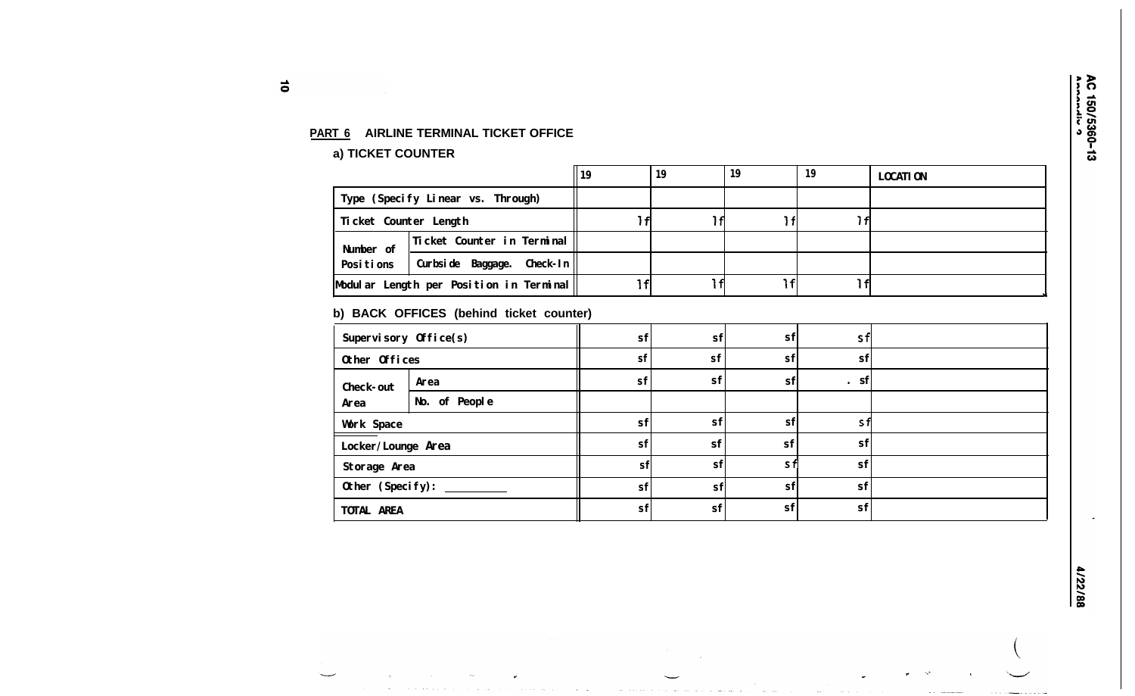**\**

# **PART 6 AIRLINE TERMINAL TICKET OFFICE**

# **a) TICKET COUNTER**

|                                   |                                         | 19 | 19 | 19 | 19 | <b>LOCATION</b> |
|-----------------------------------|-----------------------------------------|----|----|----|----|-----------------|
| Type (Specify Linear vs. Through) |                                         |    |    |    |    |                 |
| Ticket Counter Length             |                                         |    |    |    |    |                 |
| Number of                         | Ticket Counter in Terminal              |    |    |    |    |                 |
| Positions                         | Curbside Baggage. Check-In              |    |    |    |    |                 |
|                                   | Modular Length per Position in Terminal |    |    |    |    |                 |

# **b) BACK OFFICES (behind ticket counter)**

| Supervisory Office(s) |               | sf        | sf | sf        | s f  |  |
|-----------------------|---------------|-----------|----|-----------|------|--|
| Other Offices         |               | sf        | sf | sf        | st   |  |
| <b>Check-out</b>      | Area          | sf        | sf | sf        | . sf |  |
| Area                  | No. of People |           |    |           |      |  |
| Work Space            |               | sf        | sf | <b>sf</b> | 's f |  |
| Locker/Lounge Area    |               | sf        | sf | sf        | sf   |  |
| <b>Storage Area</b>   |               | sf        | sf | s fl      | sf   |  |
| Other (Specify):      |               | sf        | sf | sf        | sf   |  |
| <b>TOTAL AREA</b>     |               | <b>sf</b> | sf | sf        | sf   |  |

**Contract Contract Contract Contract Contract Contract Contract Contract Contract Contract Contract Contract Contract Contract Contract Contract Contract Contract Contract Contract Contract Contract Contract Contract Contr**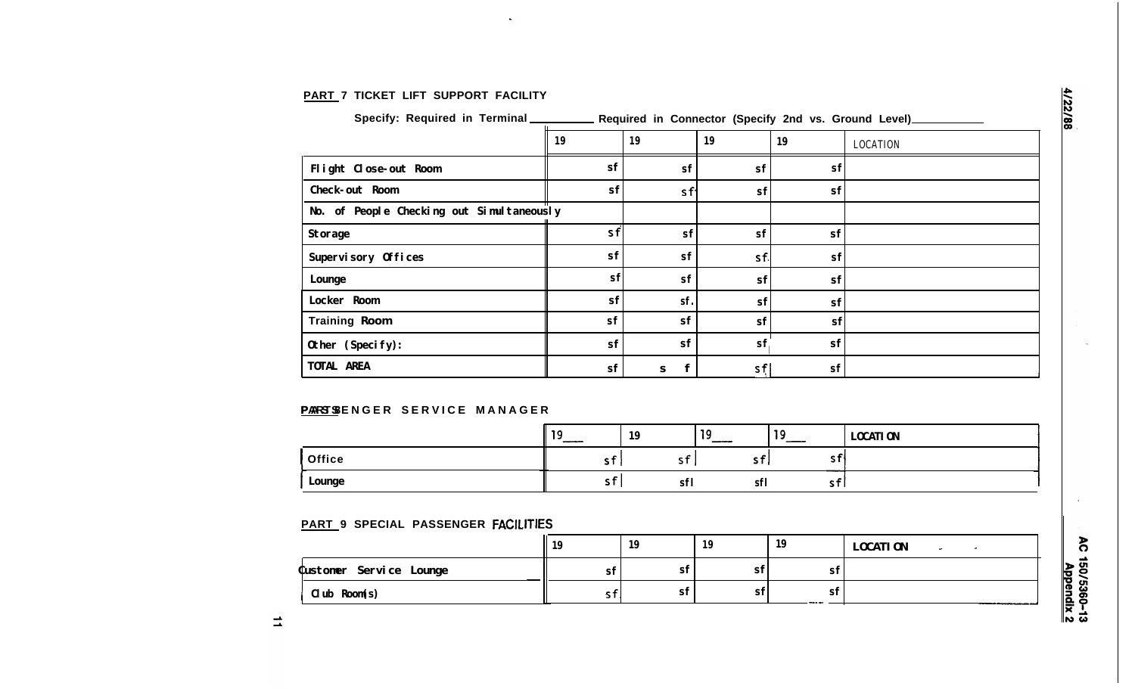#### **PART 7 TICKET LIFT SUPPORT FACILITY**

| Specify: Required in Terminal ______________ Required in Connector (Specify 2nd vs. Ground Level)__ |     |        |     |    |                 |
|-----------------------------------------------------------------------------------------------------|-----|--------|-----|----|-----------------|
|                                                                                                     | 19  | 19     | 19  | 19 | <b>LOCATION</b> |
| Flight Close-out Room                                                                               | sf  | sf     | sf  | sf |                 |
| <b>Check-out Room</b>                                                                               | sf  | $s$ f  | sf  | sf |                 |
| No. of People Checking out Simultaneously                                                           |     |        |     |    |                 |
| <b>Storage</b>                                                                                      | s f | sf     | sf  | sf |                 |
| <b>Supervisory Offices</b>                                                                          | sf  | sf     | sf. | sf |                 |
| Lounge                                                                                              | sf  | sf     | sf  | sf |                 |
| Locker Room                                                                                         | sf  | sf.    | sf  | sf |                 |
| <b>Training Room</b>                                                                                | sf  | sf     | sf  | sf |                 |
| Other (Specify):                                                                                    | sf  | sf     | sf  | sf |                 |
| <b>TOTAL AREA</b>                                                                                   | sf  | f<br>S | sf  | sf |                 |

# **PART 8ASSENGER SERVICE MANAGER**

|        |               | 19  | 10<br>$-$ |                 | <b>LOCATION</b> |
|--------|---------------|-----|-----------|-----------------|-----------------|
| Office |               | S t | s f       |                 |                 |
| Lounge | $\rightarrow$ | sfl | stl       | $\sim$ +<br>. . |                 |

#### PART 9 SPECIAL PASSENGER FACILITIES

|                                     | -19 | 19 | 19 | 19 | <b>LOCATION</b><br>- |
|-------------------------------------|-----|----|----|----|----------------------|
| Customer Service Lounge             | S1  | S1 | sf | st |                      |
| $\mathbf{Club}$ Room $(\mathbf{s})$ |     | S1 | sf | 8Ī |                      |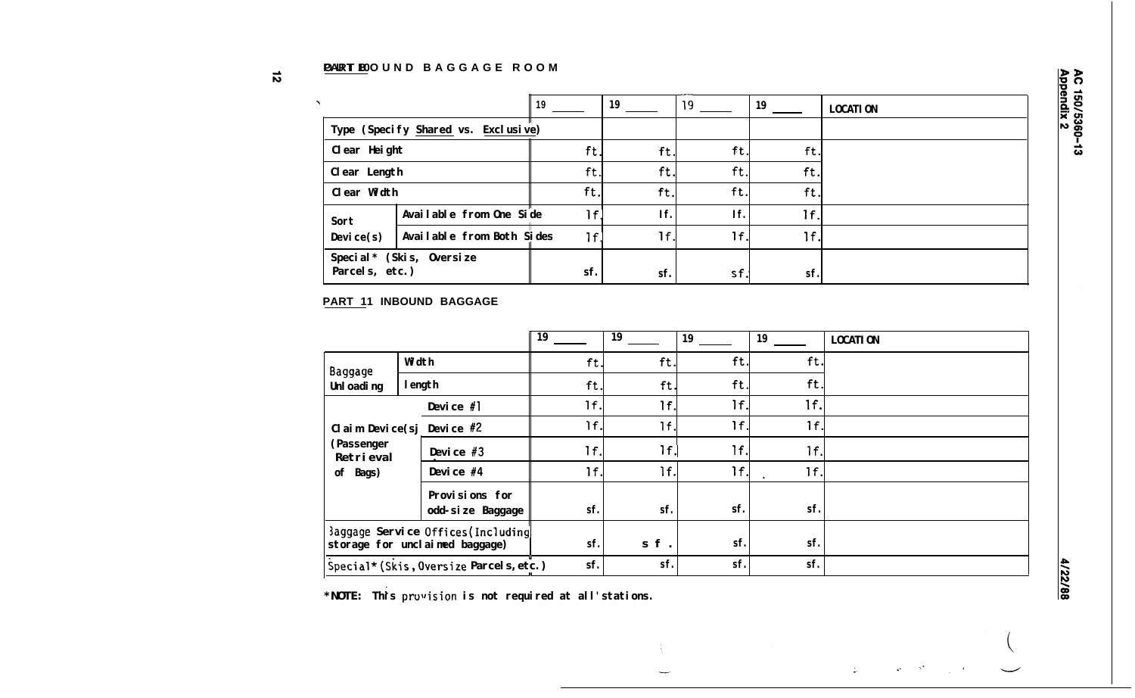#### **PART BOOUND BAGGAGE ROOM**

 $\vec{v}$ 

|                                     |                           | 19  | 19  | 19  | 19  | <b>LOCATION</b> |
|-------------------------------------|---------------------------|-----|-----|-----|-----|-----------------|
| Type (Specify Shared vs. Exclusive) |                           |     |     |     |     |                 |
| Clear Height                        |                           | ft. | ft. | ft. | ft. |                 |
| Clear Length                        |                           | ft. | ft. | ft. | ft. |                 |
| Clear Width                         |                           | ft. | ft. | ft. | ft. |                 |
| Sort                                | Available from One Side   | 1f  | If. | If. | If. |                 |
| Device( $s$ )                       | Available from Both Sides | 1f  | If. | If. | If. |                 |
| Parcels, etc.)                      | Special* (Skis, Oversize  | sf. | sf. | sf. | sf. |                 |

### **PART 11 INBOUND BAGGAGE**

|                         |                                                                      | 19           | 19     | 19  | 19  | <b>LOCATION</b> |
|-------------------------|----------------------------------------------------------------------|--------------|--------|-----|-----|-----------------|
| Baggage                 | <b>Width</b>                                                         | ft.          | ft.    | ft. | ft. |                 |
| Unloading               | length                                                               | ft.          | ft.    | ft. | ft. |                 |
|                         | Device #1                                                            | If.          | If.    | If. | 1f. |                 |
| Claim Device(sj         | Device $#2$                                                          | $\mathbf{f}$ | 1f.    | 1f. | 1f. |                 |
| (Passenger<br>Retrieval | Device $#3$                                                          | $1f$ .       | Īf.    | If. | If. |                 |
| of Bags)                | Device #4                                                            | 1f           | If.    | 1f. | 1f. |                 |
|                         | Provisions for<br>odd-size Baggage                                   | sf.          | sf.    | sf. | sf. |                 |
|                         | Baggage Service Offices (Including<br>storage for unclaimed baggage) | sf.          | $s$ f. | sf. | sf. |                 |
|                         | Special* (Skis, Oversize Parcels, etc.)                              | sf.          | sf.    | sf. | sf. |                 |

\*NOTE: This provision is not required at all'stations.

4/22/88

 $\mathbf{x}^{\mathbf{A}}$ 

**Contract Contract** 

 $\sim$  10  $\pm$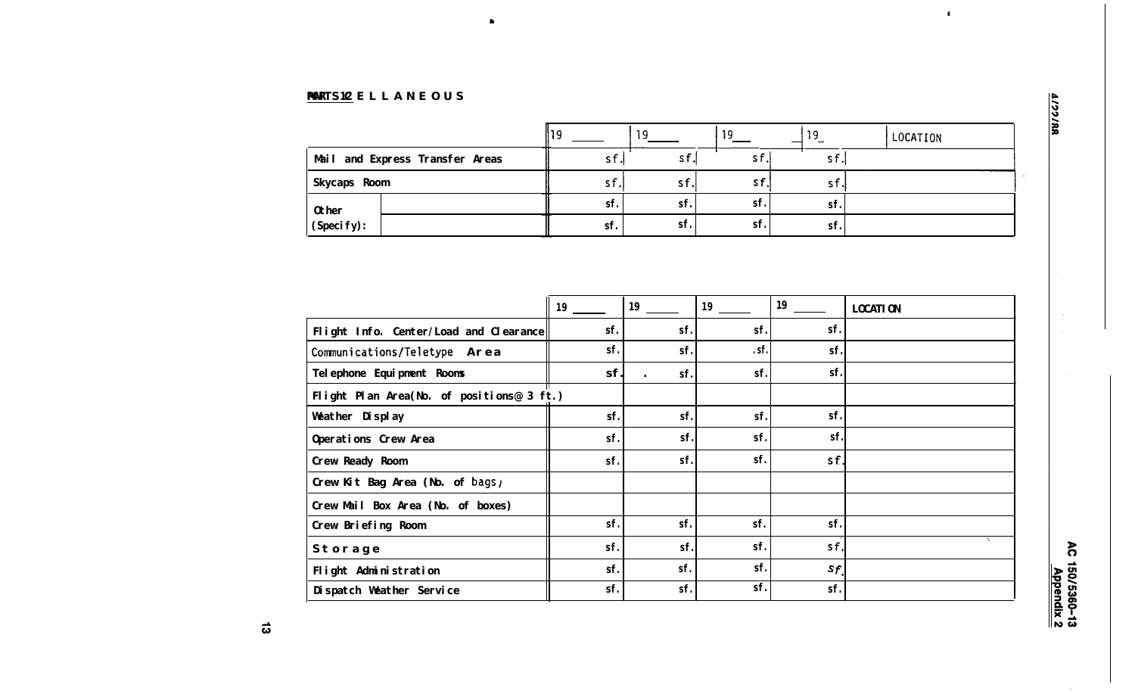# **PART 12 MISCELLANEOUS**

|                     |                                 |     | 19  | 19  |     | LOCATION |
|---------------------|---------------------------------|-----|-----|-----|-----|----------|
|                     | Mail and Express Transfer Areas | S T |     |     | ST. |          |
| <b>Skycaps Room</b> |                                 | sf. | ST. |     |     |          |
| <b>Other</b>        |                                 | sf. | sf. | st. | st. |          |
| (Specify):          |                                 | sf. | sf. | St. | sť. |          |

|                                           | 19  | 19  | 19   | 19  | <b>LOCATION</b> |
|-------------------------------------------|-----|-----|------|-----|-----------------|
| Flight Info. Center/Load and Clearance    | sf. | sf. | sf.  | sf. |                 |
| Communications/Teletype Area              | sf. | sf. | .sf. | sf. |                 |
| Telephone Equipment Rooms                 | sf. | sf. | sf.  | sf. |                 |
| Flight Plan Area(No. of positions@ 3 ft.) |     |     |      |     |                 |
| Weather Display                           | sf. | sf. | sf.  | sf. |                 |
| Operations Crew Area                      | sf. | sf. | sf.  | sf. |                 |
| <b>Crew Ready Room</b>                    | sf. | sf. | sf.  | sf. |                 |
| Crew Kit Bag Area (No. of bags)           |     |     |      |     |                 |
| Crew Mail Box Area (No. of boxes)         |     |     |      |     |                 |
| Crew Briefing Room                        | sf. | sf. | sf.  | sf. |                 |
| Storage                                   | sf. | sf. | sf.  | sf. |                 |
| Flight Administration                     | sf. | sf. | sf.  | SF  |                 |
| Dispatch Weather Service                  | sf. | sf. | sf.  | sf. |                 |

**A/77/RR** 

AC 150/5360-13<br><u>Appendix 2</u>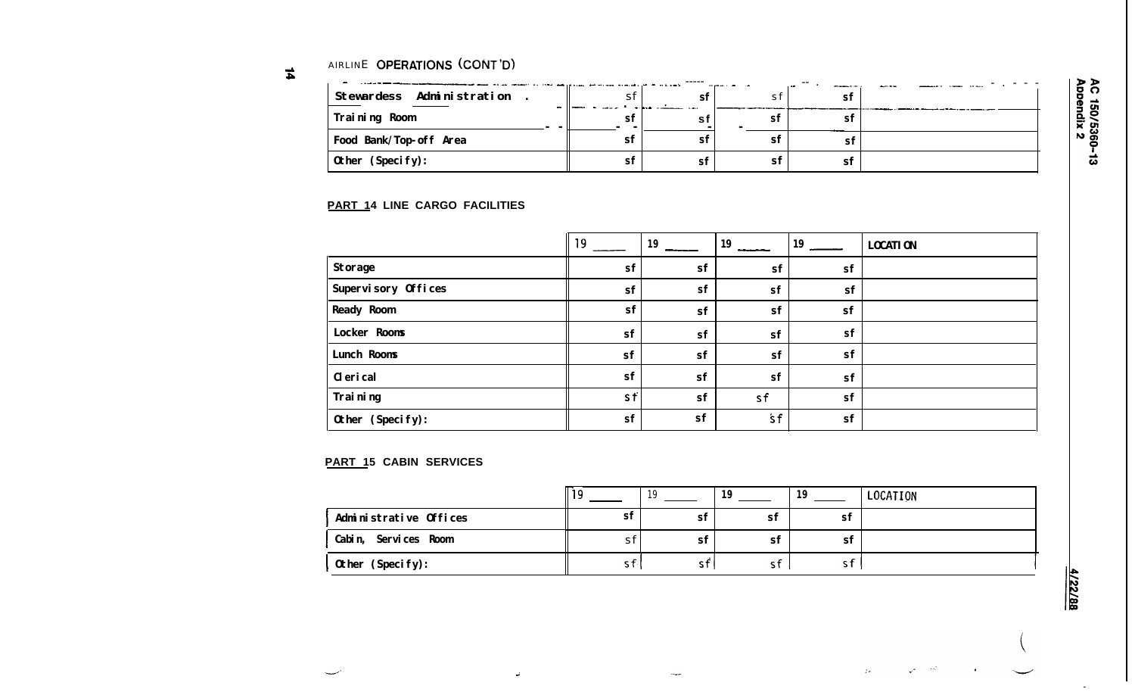AIRLINE OPERATIONS (CONT'D)

| AIRLINE <b>UPERAHUNS (CUNTLU)</b> |      |     |           |               |  |
|-----------------------------------|------|-----|-----------|---------------|--|
| Stewardess Administration         |      |     | S.        | S1            |  |
| Training Room                     | -S 1 | S f | st        | .sf           |  |
| Food Bank/Top- off Area           | -S1  | -st | -st       | S1            |  |
| Other (Specify):                  | -S I | sf  | <b>st</b> | <sub>sf</sub> |  |

# **PART 14 LINE CARGO FACILITIES**

| <b>PART 14 LINE CARGO FACILITIES</b> |              |    |      |    |                 |
|--------------------------------------|--------------|----|------|----|-----------------|
|                                      | $ 19\rangle$ | 19 | 19   | 19 | <b>LOCATION</b> |
| <b>Storage</b>                       | sf           | sf | sf   | sf |                 |
| <b>Supervisory Offices</b>           | sf           | sf | sf   | sf |                 |
| <b>Ready Room</b>                    | sf           | sf | sf   | sf |                 |
| <b>Locker Rooms</b>                  | sf           | sf | sf   | sf |                 |
| <b>Lunch Rooms</b>                   | sf           | sf | sf   | sf |                 |
| Clerical                             | sf           | sf | sf   | sf |                 |
| Training                             | sť           | sf | sf   | sf |                 |
| Other (Specify):                     | sf           | sf | 's f | sf |                 |

# **PART 15 CABIN SERVICES**

|                        |    |               | 19 | -19 | LOCATION |
|------------------------|----|---------------|----|-----|----------|
| Administrative Offices | sf | -st           | sf | -st |          |
| Cabin, Services Room   | St | <sub>sf</sub> | sf | s1  |          |
| Other (Specify):       | SТ | SΤ            |    |     |          |

 $\sim 10^{-11}$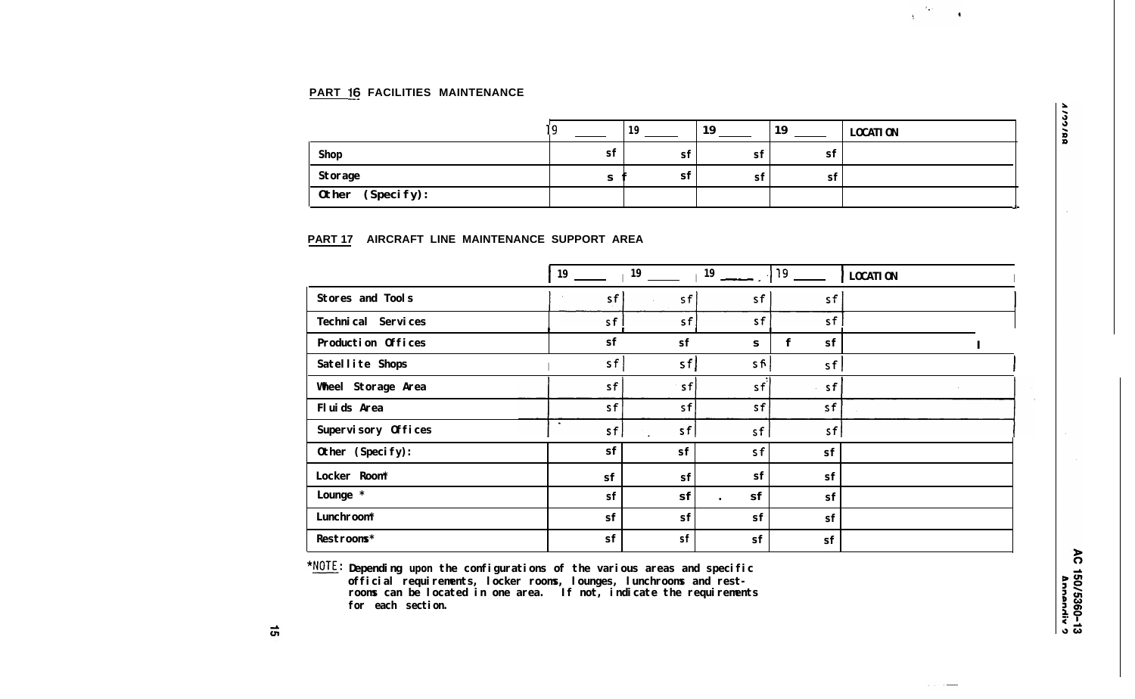#### **PART 15 FACILITIES MAINTENANCE**

|                  |    | 19  | 19        | 19 | <b>LOCATION</b> |
|------------------|----|-----|-----------|----|-----------------|
| <b>Shop</b>      | sf | -st | sf        | sf |                 |
| <b>Storage</b>   | S  | -st | <b>sf</b> | sf |                 |
| Other (Specify): |    |     |           |    |                 |

#### **PART 17 AIRCRAFT LINE MAINTENANCE SUPPORT AREA**

|                            | 19              | $_1$ 19 | 19              | 19                | <b>LOCATION</b> |
|----------------------------|-----------------|---------|-----------------|-------------------|-----------------|
| <b>Stores and Tools</b>    | sf              | sf      | sf              | sf                |                 |
| Technical Services         | sf              | sf      | sf              | sf                |                 |
| <b>Production Offices</b>  | sf              | sf      | S               | $\mathbf f$<br>sf |                 |
| Satellite Shops            | sf              | sf      | $s$ f $ $       | sf                |                 |
| <b>Wheel Storage Area</b>  | sf              | sf)     | sf'             | sf                |                 |
| Fluids Area                | sf              | sf      | sf              | sf                |                 |
| <b>Supervisory Offices</b> | $\bullet$<br>sf | sf      | sf              | sf                |                 |
| Other (Specify):           | sf              | sf      | sf              | sf                |                 |
| Locker Room*               | sf              | sf      | sf              | sf                |                 |
| Lounge *                   | sf              | sf      | sf<br>$\bullet$ | sf                |                 |
| Lunchroom*                 | sf              | sf      | sf              | sf                |                 |
| Restrooms*                 | sf              | sf      | sf              | sf                |                 |

**\*WE Depending upon the configurations of the various areas and specific official requirements, locker rooms, lounges, lunchrooms and restrooms can be located in one area. If not, indicate the requirements for each section.**

AC 150/5360-13<br>AC 150/5360-13

 $\parallel$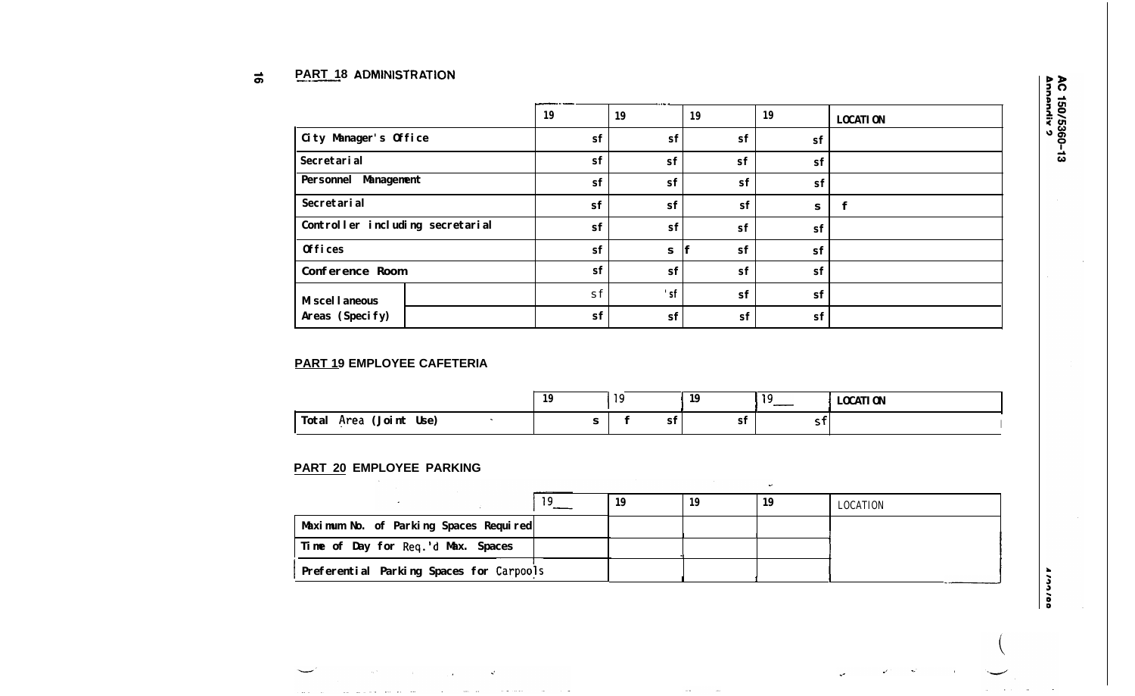#### $\vec{a}$ **PART 18 ADMINISTRATION**

| PART 18 ADMINISTRATION           |  |    |     |         |              |                 |
|----------------------------------|--|----|-----|---------|--------------|-----------------|
|                                  |  | 19 | 19  | 19      | 19           | <b>LOCATION</b> |
| City Manager's Office            |  | sf | sf  | sf      | sf           |                 |
| Secretarial                      |  | sf | sf  | sf      | sf           |                 |
| <b>Personnel Management</b>      |  | sf | sf  | sf      | sf           |                 |
| Secretarial                      |  | sf | sf  | sf      | $\mathbf{s}$ | f               |
| Controller including secretarial |  | sf | sf  | sf      | sf           |                 |
| Offices                          |  | sf | S   | sf<br>f | sf           |                 |
| <b>Conference Room</b>           |  | sf | sf  | sf      | sf           |                 |
| <b>M</b> scell aneous            |  | sf | 'sf | sf      | sf           |                 |
| Areas (Specify)                  |  | sf | sf  | sf      | sf           |                 |

# **PART 19 EMPLOYEE CAFETERIA**

|                                        | 19 |   | 19   | 10 | <b>LOCATION</b> |
|----------------------------------------|----|---|------|----|-----------------|
| Use)<br><b>Total</b><br>(Joint<br>Area |    | - | - 51 |    |                 |

# **PART 20 EMPLOYEE PARKING**

|                                          | 19 | 19 | 19 | <b>LOCATION</b> |
|------------------------------------------|----|----|----|-----------------|
| Maximum No. of Parking Spaces Required   |    |    |    |                 |
| Time of Day for Req.'d Max. Spaces       |    |    |    |                 |
| Preferential Parking Spaces for Carpools |    |    |    |                 |
|                                          |    |    |    |                 |

**AINAIDD**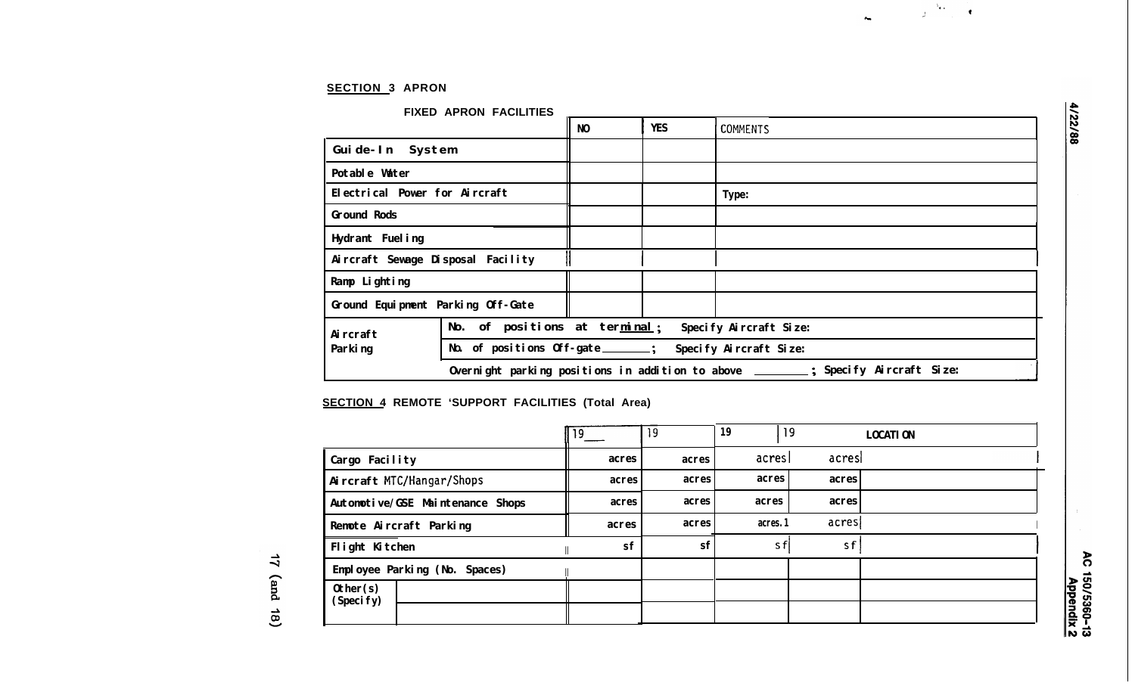### **SECTION 3 APRON**

| <b>FIXED APRON FACILITIES</b>     |                                                                                 |                |            |                 |  |  |  |
|-----------------------------------|---------------------------------------------------------------------------------|----------------|------------|-----------------|--|--|--|
|                                   |                                                                                 | N <sub>0</sub> | <b>YES</b> | <b>COMMENTS</b> |  |  |  |
| Guide-In System                   |                                                                                 |                |            |                 |  |  |  |
| <b>Potable Water</b>              |                                                                                 |                |            |                 |  |  |  |
| Electrical Power for Aircraft     |                                                                                 |                |            | Type:           |  |  |  |
| <b>Ground Rods</b>                |                                                                                 |                |            |                 |  |  |  |
| Hydrant Fueling                   |                                                                                 |                |            |                 |  |  |  |
|                                   | Aircraft Sewage Disposal Facility                                               |                |            |                 |  |  |  |
| Ramp Lighting                     |                                                                                 |                |            |                 |  |  |  |
| Ground Equipment Parking Off-Gate |                                                                                 |                |            |                 |  |  |  |
| Aircraft                          | No. of positions at terminal; Specify Aircraft Size:                            |                |            |                 |  |  |  |
| Parking                           | No. of positions Off-gate _____; Specify Aircraft Size:                         |                |            |                 |  |  |  |
|                                   | Overnight parking positions in addition to above ______; Specify Aircraft Size: |                |            |                 |  |  |  |

### **SECTION 4 REMOTE 'SUPPORT FACILITIES (Total Area)**

|                                  | 9     | 19    | 19       | 19     | <b>LOCATION</b> |
|----------------------------------|-------|-------|----------|--------|-----------------|
| Cargo Facility                   | acres | acres | acres    | acresi |                 |
| Aircraft MTC/Hangar/Shops        | acres | acres | acres    | acres  |                 |
| Automotive/GSE Maintenance Shops | acres | acres | acres    | acres  |                 |
| Remote Aircraft Parking          | acres | acres | acres. 1 | acres  |                 |
| Flight Kitchen                   | sf    | sf    | 's f     | s f    |                 |
| Employee Parking (No. Spaces)    |       |       |          |        |                 |
| $0$ ther(s)<br>(Specify)         |       |       |          |        |                 |
|                                  |       |       |          |        |                 |

 $\tau$ 

AC 150/5360-13<br>Appendix 2